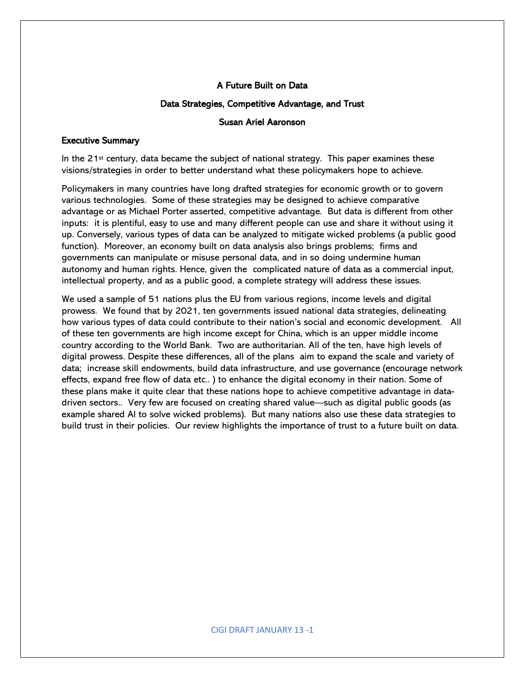### A Future Built on Data

#### Data Strategies, Competitive Advantage, and Trust

#### Susan Ariel Aaronson

#### Executive Summary

In the  $21^{st}$  century, data became the subject of national strategy. This paper examines these visions/strategies in order to better understand what these policymakers hope to achieve.

Policymakers in many countries have long drafted strategies for economic growth or to govern various technologies. Some of these strategies may be designed to achieve comparative advantage or as Michael Porter asserted, competitive advantage. But data is different from other inputs: it is plentiful, easy to use and many different people can use and share it without using it up. Conversely, various types of data can be analyzed to mitigate wicked problems (a public good function). Moreover, an economy built on data analysis also brings problems; firms and governments can manipulate or misuse personal data, and in so doing undermine human autonomy and human rights. Hence, given the complicated nature of data as a commercial input, intellectual property, and as a public good, a complete strategy will address these issues.

We used a sample of 51 nations plus the EU from various regions, income levels and digital prowess. We found that by 2021, ten governments issued national data strategies, delineating how various types of data could contribute to their nation's social and economic development. All of these ten governments are high income except for China, which is an upper middle income country according to the World Bank. Two are authoritarian. All of the ten, have high levels of digital prowess. Despite these differences, all of the plans aim to expand the scale and variety of data; increase skill endowments, build data infrastructure, and use governance (encourage network effects, expand free flow of data etc.. ) to enhance the digital economy in their nation. Some of these plans make it quite clear that these nations hope to achieve competitive advantage in datadriven sectors.. Very few are focused on creating shared value—such as digital public goods (as example shared AI to solve wicked problems). But many nations also use these data strategies to build trust in their policies. Our review highlights the importance of trust to a future built on data.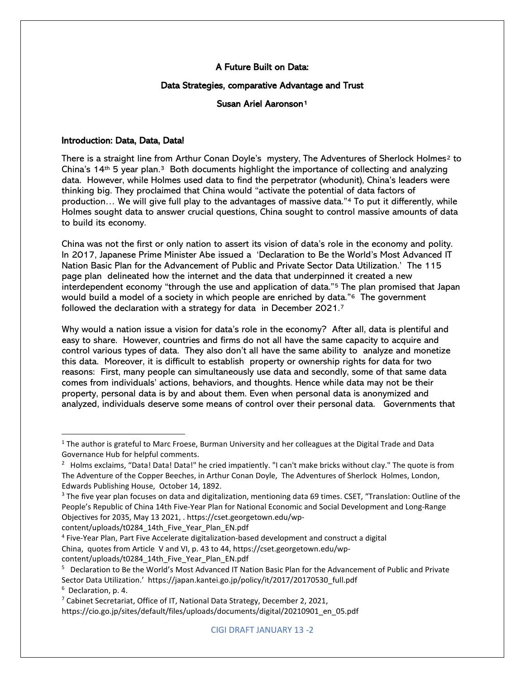### A Future Built on Data:

#### Data Strategies, comparative Advantage and Trust

### Susan Ariel Aaronson<sup>1</sup>

### Introduction: Data, Data, Data!

There is a straight line from Arthur Conan Doyle's mystery, The Adventures of Sherlock Holmes<sup>[2](#page-1-1)</sup> to China's  $14<sup>th</sup>$  5 year plan.<sup>3</sup> Both documents highlight the importance of collecting and analyzing data. However, while Holmes used data to find the perpetrator (whodunit), China's leaders were thinking big. They proclaimed that China would "activate the potential of data factors of production… We will give full play to the advantages of massive data."[4](#page-1-3) To put it differently, while Holmes sought data to answer crucial questions, China sought to control massive amounts of data to build its economy.

China was not the first or only nation to assert its vision of data's role in the economy and polity. In 2017, Japanese Prime Minister Abe issued a 'Declaration to Be the World's Most Advanced IT Nation Basic Plan for the Advancement of Public and Private Sector Data Utilization.' The 115 page plan delineated how the internet and the data that underpinned it created a new interdependent economy "through the use and application of data.["5](#page-1-4) The plan promised that Japan would build a model of a society in which people are enriched by data."<sup>[6](#page-1-5)</sup> The government followed the declaration with a strategy for data in December 2021.[7](#page-1-6)

Why would a nation issue a vision for data's role in the economy? After all, data is plentiful and easy to share. However, countries and firms do not all have the same capacity to acquire and control various types of data. They also don't all have the same ability to analyze and monetize this data. Moreover, it is difficult to establish property or ownership rights for data for two reasons: First, many people can simultaneously use data and secondly, some of that same data comes from individuals' actions, behaviors, and thoughts. Hence while data may not be their property, personal data is by and about them. Even when personal data is anonymized and analyzed, individuals deserve some means of control over their personal data. Governments that

content/uploads/t0284\_14th\_Five\_Year\_Plan\_EN.pdf

<span id="page-1-0"></span> $1$  The author is grateful to Marc Froese, Burman University and her colleagues at the Digital Trade and Data Governance Hub for helpful comments.

<span id="page-1-1"></span><sup>&</sup>lt;sup>2</sup> Holms exclaims, "Data! Data! Data!" he cried impatiently. "I can't make bricks without clay." The quote is from The Adventure of the Copper Beeches, in Arthur Conan Doyle, The Adventures of Sherlock Holmes, London, Edwards Publishing House, October 14, 1892.

<span id="page-1-2"></span><sup>&</sup>lt;sup>3</sup> The five year plan focuses on data and digitalization, mentioning data 69 times. CSET, "Translation: Outline of the People's Republic of China 14th Five-Year Plan for National Economic and Social Development and Long-Range Objectives for 2035, May 13 2021, . https://cset.georgetown.edu/wp-

<span id="page-1-3"></span><sup>4</sup> Five-Year Plan, Part Five Accelerate digitalization-based development and construct a digital China, quotes from Article V and VI, p. 43 to 44, https://cset.georgetown.edu/wpcontent/uploads/t0284\_14th\_Five\_Year\_Plan\_EN.pdf

<span id="page-1-4"></span><sup>5</sup> Declaration to Be the World's Most Advanced IT Nation Basic Plan for the Advancement of Public and Private Sector Data Utilization.' https://japan.kantei.go.jp/policy/it/2017/20170530\_full.pdf 6 Declaration, p. 4.

<span id="page-1-6"></span><span id="page-1-5"></span><sup>&</sup>lt;sup>7</sup> Cabinet Secretariat, Office of IT, National Data Strategy, December 2, 2021, https://cio.go.jp/sites/default/files/uploads/documents/digital/20210901\_en\_05.pdf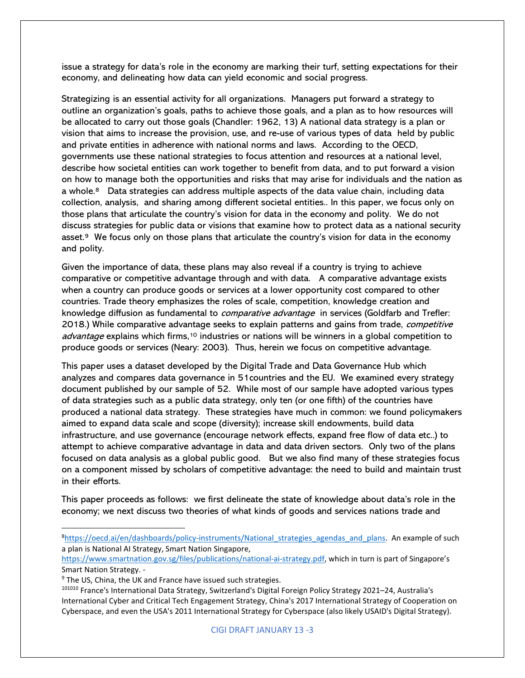issue a strategy for data's role in the economy are marking their turf, setting expectations for their economy, and delineating how data can yield economic and social progress.

Strategizing is an essential activity for all organizations. Managers put forward a strategy to outline an organization's goals, paths to achieve those goals, and a plan as to how resources will be allocated to carry out those goals (Chandler: 1962, 13) A national data strategy is a plan or vision that aims to increase the provision, use, and re-use of various types of data held by public and private entities in adherence with national norms and laws. According to the OECD, governments use these national strategies to focus attention and resources at a national level, describe how societal entities can work together to benefit from data, and to put forward a vision on how to manage both the opportunities and risks that may arise for individuals and the nation as a whole.<sup>8</sup> Data strategies can address multiple aspects of the data value chain, including data collection, analysis, and sharing among different societal entities.. In this paper, we focus only on those plans that articulate the country's vision for data in the economy and polity. We do not discuss strategies for public data or visions that examine how to protect data as a national security asset.[9](#page-2-1) We focus only on those plans that articulate the country's vision for data in the economy and polity.

Given the importance of data, these plans may also reveal if a country is trying to achieve comparative or competitive advantage through and with data. A comparative advantage exists when a country can produce goods or services at a lower opportunity cost compared to other countries. Trade theory emphasizes the roles of scale, competition, knowledge creation and knowledge diffusion as fundamental to *comparative advantage* in services (Goldfarb and Trefler: 2018.) While comparative advantage seeks to explain patterns and gains from trade, competitive advantage explains which firms,<sup>[10](#page-2-2)</sup> industries or nations will be winners in a global competition to produce goods or services (Neary: 2003). Thus, herein we focus on competitive advantage.

This paper uses a dataset developed by the Digital Trade and Data Governance Hub which analyzes and compares data governance in 51countries and the EU. We examined every strategy document published by our sample of 52. While most of our sample have adopted various types of data strategies such as a public data strategy, only ten (or one fifth) of the countries have produced a national data strategy. These strategies have much in common: we found policymakers aimed to expand data scale and scope (diversity); increase skill endowments, build data infrastructure, and use governance (encourage network effects, expand free flow of data etc..) to attempt to achieve comparative advantage in data and data driven sectors. Only two of the plans focused on data analysis as a global public good. But we also find many of these strategies focus on a component missed by scholars of competitive advantage: the need to build and maintain trust in their efforts.

This paper proceeds as follows: we first delineate the state of knowledge about data's role in the economy; we next discuss two theories of what kinds of goods and services nations trade and

<span id="page-2-0"></span><sup>&</sup>lt;sup>8</sup>https://oecd.ai/en/dashboards/policy-instruments/National strategies agendas and plans. An example of such a plan is National AI Strategy, Smart Nation Singapore,

[https://www.smartnation.gov.sg/files/publications/national-ai-strategy.pdf,](https://www.smartnation.gov.sg/files/publications/national-ai-strategy.pdf) which in turn is part of Singapore's Smart Nation Strategy. -

<span id="page-2-1"></span><sup>&</sup>lt;sup>9</sup> The US, China, the UK and France have issued such strategies.

<span id="page-2-2"></span><sup>101010</sup> France's International Data Strategy, Switzerland's Digital Foreign Policy Strategy 2021–24, Australia's International Cyber and Critical Tech Engagement Strategy, China's 2017 International Strategy of Cooperation on Cyberspace, and even the USA's 2011 International Strategy for Cyberspace (also likely USAID's Digital Strategy).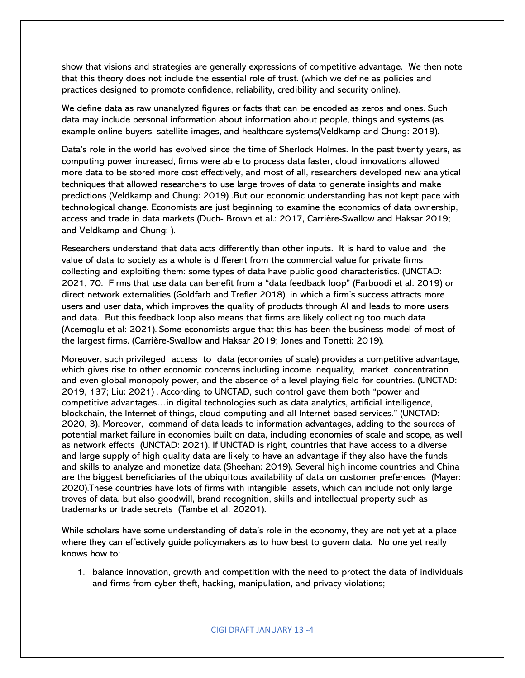show that visions and strategies are generally expressions of competitive advantage. We then note that this theory does not include the essential role of trust. (which we define as policies and practices designed to promote confidence, reliability, credibility and security online).

We define data as raw unanalyzed figures or facts that can be encoded as zeros and ones. Such data may include personal information about information about people, things and systems (as example online buyers, satellite images, and healthcare systems(Veldkamp and Chung: 2019).

Data's role in the world has evolved since the time of Sherlock Holmes. In the past twenty years, as computing power increased, firms were able to process data faster, cloud innovations allowed more data to be stored more cost effectively, and most of all, researchers developed new analytical techniques that allowed researchers to use large troves of data to generate insights and make predictions (Veldkamp and Chung: 2019) .But our economic understanding has not kept pace with technological change. Economists are just beginning to examine the economics of data ownership, access and trade in data markets (Duch- Brown et al.: 2017, Carrière-Swallow and Haksar 2019; and Veldkamp and Chung: ).

Researchers understand that data acts differently than other inputs. It is hard to value and the value of data to society as a whole is different from the commercial value for private firms collecting and exploiting them: some types of data have public good characteristics. (UNCTAD: 2021, 70. Firms that use data can benefit from a "data feedback loop" (Farboodi et al. 2019) or direct network externalities (Goldfarb and Trefler 2018), in which a firm's success attracts more users and user data, which improves the quality of products through AI and leads to more users and data. But this feedback loop also means that firms are likely collecting too much data (Acemoglu et al: 2021). Some economists argue that this has been the business model of most of the largest firms. (Carrière-Swallow and Haksar 2019; Jones and Tonetti: 2019).

Moreover, such privileged access to data (economies of scale) provides a competitive advantage, which gives rise to other economic concerns including income inequality, market concentration and even global monopoly power, and the absence of a level playing field for countries. (UNCTAD: 2019, 137; Liu: 2021) . According to UNCTAD, such control gave them both "power and competitive advantages…in digital technologies such as data analytics, artificial intelligence, blockchain, the Internet of things, cloud computing and all Internet based services." (UNCTAD: 2020, 3). Moreover, command of data leads to information advantages, adding to the sources of potential market failure in economies built on data, including economies of scale and scope, as well as network effects (UNCTAD: 2021). If UNCTAD is right, countries that have access to a diverse and large supply of high quality data are likely to have an advantage if they also have the funds and skills to analyze and monetize data (Sheehan: 2019). Several high income countries and China are the biggest beneficiaries of the ubiquitous availability of data on customer preferences (Mayer: 2020).These countries have lots of firms with intangible assets, which can include not only large troves of data, but also goodwill, brand recognition, skills and intellectual property such as trademarks or trade secrets (Tambe et al. 20201).

While scholars have some understanding of data's role in the economy, they are not yet at a place where they can effectively guide policymakers as to how best to govern data. No one yet really knows how to:

1. balance innovation, growth and competition with the need to protect the data of individuals and firms from cyber-theft, hacking, manipulation, and privacy violations;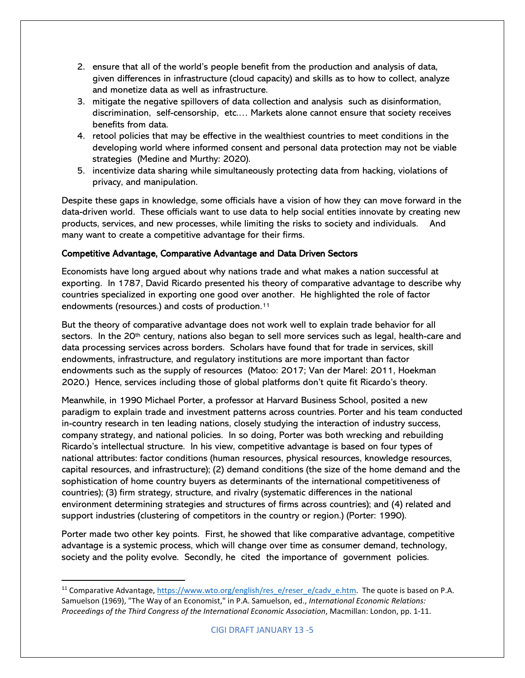- 2. ensure that all of the world's people benefit from the production and analysis of data, given differences in infrastructure (cloud capacity) and skills as to how to collect, analyze and monetize data as well as infrastructure.
- 3. mitigate the negative spillovers of data collection and analysis such as disinformation, discrimination, self-censorship, etc.… Markets alone cannot ensure that society receives benefits from data.
- 4. retool policies that may be effective in the wealthiest countries to meet conditions in the developing world where informed consent and personal data protection may not be viable strategies (Medine and Murthy: 2020).
- 5. incentivize data sharing while simultaneously protecting data from hacking, violations of privacy, and manipulation.

Despite these gaps in knowledge, some officials have a vision of how they can move forward in the data-driven world. These officials want to use data to help social entities innovate by creating new products, services, and new processes, while limiting the risks to society and individuals. And many want to create a competitive advantage for their firms.

# Competitive Advantage, Comparative Advantage and Data Driven Sectors

Economists have long argued about why nations trade and what makes a nation successful at exporting. In 1787, David Ricardo presented his theory of comparative advantage to describe why countries specialized in exporting one good over another. He highlighted the role of factor endowments (resources.) and costs of production.[11](#page-4-0)

But the theory of comparative advantage does not work well to explain trade behavior for all sectors. In the 20<sup>th</sup> century, nations also began to sell more services such as legal, health-care and data processing services across borders. Scholars have found that for trade in services, skill endowments, infrastructure, and regulatory institutions are more important than factor endowments such as the supply of resources (Matoo: 2017; Van der Marel: 2011, Hoekman 2020.) Hence, services including those of global platforms don't quite fit Ricardo's theory.

Meanwhile, in 1990 Michael Porter, a professor at Harvard Business School, posited a new paradigm to explain trade and investment patterns across countries. Porter and his team conducted in-country research in ten leading nations, closely studying the interaction of industry success, company strategy, and national policies. In so doing, Porter was both wrecking and rebuilding Ricardo's intellectual structure. In his view, competitive advantage is based on four types of national attributes: factor conditions (human resources, physical resources, knowledge resources, capital resources, and infrastructure); (2) demand conditions (the size of the home demand and the sophistication of home country buyers as determinants of the international competitiveness of countries); (3) firm strategy, structure, and rivalry (systematic differences in the national environment determining strategies and structures of firms across countries); and (4) related and support industries (clustering of competitors in the country or region.) (Porter: 1990).

Porter made two other key points. First, he showed that like comparative advantage, competitive advantage is a systemic process, which will change over time as consumer demand, technology, society and the polity evolve. Secondly, he cited the importance of government policies.

<span id="page-4-0"></span><sup>&</sup>lt;sup>11</sup> Comparative Advantage, [https://www.wto.org/english/res\\_e/reser\\_e/cadv\\_e.htm.](https://www.wto.org/english/res_e/reser_e/cadv_e.htm) The quote is based on P.A. Samuelson (1969), "The Way of an Economist," in P.A. Samuelson, ed., *International Economic Relations: Proceedings of the Third Congress of the International Economic Association*, Macmillan: London, pp. 1-11.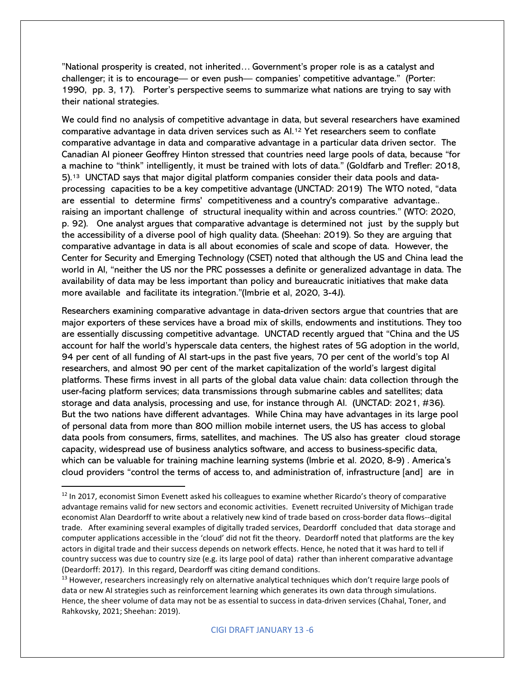"National prosperity is created, not inherited… Government's proper role is as a catalyst and challenger; it is to encourage— or even push— companies' competitive advantage." (Porter: 1990, pp. 3, 17). Porter's perspective seems to summarize what nations are trying to say with their national strategies.

We could find no analysis of competitive advantage in data, but several researchers have examined comparative advantage in data driven services such as AI[.12](#page-5-0) Yet researchers seem to conflate comparative advantage in data and comparative advantage in a particular data driven sector. The Canadian AI pioneer Geoffrey Hinton stressed that countries need large pools of data, because "for a machine to "think" intelligently, it must be trained with lots of data." (Goldfarb and Trefler: 2018, 5).[13](#page-5-1) UNCTAD says that major digital platform companies consider their data pools and dataprocessing capacities to be a key competitive advantage (UNCTAD: 2019) The WTO noted, "data are essential to determine firms' competitiveness and a country's comparative advantage.. raising an important challenge of structural inequality within and across countries." (WTO: 2020, p. 92). One analyst argues that comparative advantage is determined not just by the supply but the accessibility of a diverse pool of high quality data. (Sheehan: 2019). So they are arguing that comparative advantage in data is all about economies of scale and scope of data. However, the Center for Security and Emerging Technology (CSET) noted that although the US and China lead the world in AI, "neither the US nor the PRC possesses a definite or generalized advantage in data. The availability of data may be less important than policy and bureaucratic initiatives that make data more available and facilitate its integration."(Imbrie et al, 2020, 3-4J).

Researchers examining comparative advantage in data-driven sectors argue that countries that are major exporters of these services have a broad mix of skills, endowments and institutions. They too are essentially discussing competitive advantage. UNCTAD recently argued that "China and the US account for half the world's hyperscale data centers, the highest rates of 5G adoption in the world, 94 per cent of all funding of AI start-ups in the past five years, 70 per cent of the world's top AI researchers, and almost 90 per cent of the market capitalization of the world's largest digital platforms. These firms invest in all parts of the global data value chain: data collection through the user-facing platform services; data transmissions through submarine cables and satellites; data storage and data analysis, processing and use, for instance through AI. (UNCTAD: 2021, #36). But the two nations have different advantages. While China may have advantages in its large pool of personal data from more than 800 million mobile internet users, the US has access to global data pools from consumers, firms, satellites, and machines. The US also has greater cloud storage capacity, widespread use of business analytics software, and access to business-specific data, which can be valuable for training machine learning systems (Imbrie et al. 2020, 8-9) . America's cloud providers "control the terms of access to, and administration of, infrastructure [and] are in

<span id="page-5-0"></span> $12$  In 2017, economist Simon Evenett asked his colleagues to examine whether Ricardo's theory of comparative advantage remains valid for new sectors and economic activities. Evenett recruited University of Michigan trade economist Alan Deardorff to write about a relatively new kind of trade based on cross-border data flows--digital trade. After examining several examples of digitally traded services, Deardorff concluded that data storage and computer applications accessible in the 'cloud' did not fit the theory. Deardorff noted that platforms are the key actors in digital trade and their success depends on network effects. Hence, he noted that it was hard to tell if country success was due to country size (e.g. its large pool of data) rather than inherent comparative advantage (Deardorff: 2017). In this regard, Deardorff was citing demand conditions.

<span id="page-5-1"></span><sup>&</sup>lt;sup>13</sup> However, researchers increasingly rely on alternative analytical techniques which don't require large pools of data or new AI strategies such as reinforcement learning which generates its own data through simulations. Hence, the sheer volume of data may not be as essential to success in data-driven services (Chahal, Toner, and Rahkovsky, 2021; Sheehan: 2019).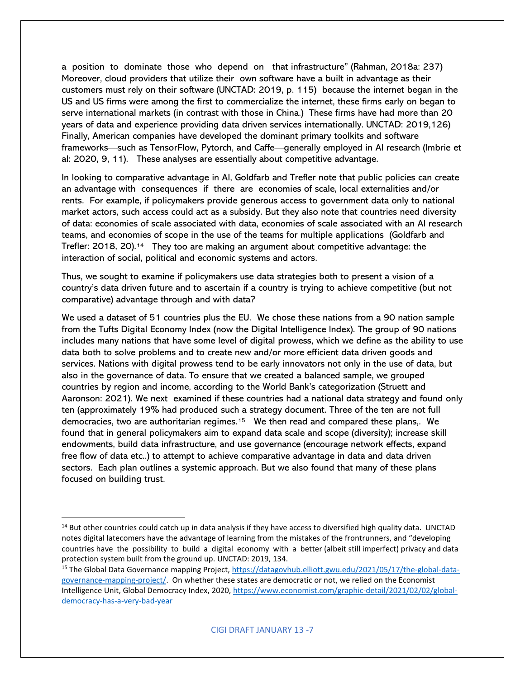a position to dominate those who depend on that infrastructure" (Rahman, 2018a: 237) Moreover, cloud providers that utilize their own software have a built in advantage as their customers must rely on their software (UNCTAD: 2019, p. 115) because the internet began in the US and US firms were among the first to commercialize the internet, these firms early on began to serve international markets (in contrast with those in China.) These firms have had more than 20 years of data and experience providing data driven services internationally. UNCTAD: 2019,126) Finally, American companies have developed the dominant primary toolkits and software frameworks—such as TensorFlow, Pytorch, and Caffe—generally employed in AI research (Imbrie et al: 2020, 9, 11). These analyses are essentially about competitive advantage.

In looking to comparative advantage in AI, Goldfarb and Trefler note that public policies can create an advantage with consequences if there are economies of scale, local externalities and/or rents. For example, if policymakers provide generous access to government data only to national market actors, such access could act as a subsidy. But they also note that countries need diversity of data: economies of scale associated with data, economies of scale associated with an AI research teams, and economies of scope in the use of the teams for multiple applications (Goldfarb and Trefler: 2018, 20).[14](#page-6-0) They too are making an argument about competitive advantage: the interaction of social, political and economic systems and actors.

Thus, we sought to examine if policymakers use data strategies both to present a vision of a country's data driven future and to ascertain if a country is trying to achieve competitive (but not comparative) advantage through and with data?

We used a dataset of 51 countries plus the EU. We chose these nations from a 90 nation sample from the Tufts Digital Economy Index (now the Digital Intelligence Index). The group of 90 nations includes many nations that have some level of digital prowess, which we define as the ability to use data both to solve problems and to create new and/or more efficient data driven goods and services. Nations with digital prowess tend to be early innovators not only in the use of data, but also in the governance of data. To ensure that we created a balanced sample, we grouped countries by region and income, according to the World Bank's categorization (Struett and Aaronson: 2021). We next examined if these countries had a national data strategy and found only ten (approximately 19% had produced such a strategy document. Three of the ten are not full democracies, two are authoritarian regimes.[15](#page-6-1) We then read and compared these plans,. We found that in general policymakers aim to expand data scale and scope (diversity); increase skill endowments, build data infrastructure, and use governance (encourage network effects, expand free flow of data etc..) to attempt to achieve comparative advantage in data and data driven sectors. Each plan outlines a systemic approach. But we also found that many of these plans focused on building trust.

<span id="page-6-0"></span><sup>&</sup>lt;sup>14</sup> But other countries could catch up in data analysis if they have access to diversified high quality data. UNCTAD notes digital latecomers have the advantage of learning from the mistakes of the frontrunners, and "developing countries have the possibility to build a digital economy with a better (albeit still imperfect) privacy and data protection system built from the ground up. UNCTAD: 2019, 134.

<span id="page-6-1"></span><sup>&</sup>lt;sup>15</sup> The Global Data Governance mapping Project, [https://datagovhub.elliott.gwu.edu/2021/05/17/the-global-data](https://datagovhub.elliott.gwu.edu/2021/05/17/the-global-data-governance-mapping-project/)[governance-mapping-project/.](https://datagovhub.elliott.gwu.edu/2021/05/17/the-global-data-governance-mapping-project/) On whether these states are democratic or not, we relied on the Economist Intelligence Unit, Global Democracy Index, 2020, [https://www.economist.com/graphic-detail/2021/02/02/global](https://www.economist.com/graphic-detail/2021/02/02/global-democracy-has-a-very-bad-year)[democracy-has-a-very-bad-year](https://www.economist.com/graphic-detail/2021/02/02/global-democracy-has-a-very-bad-year)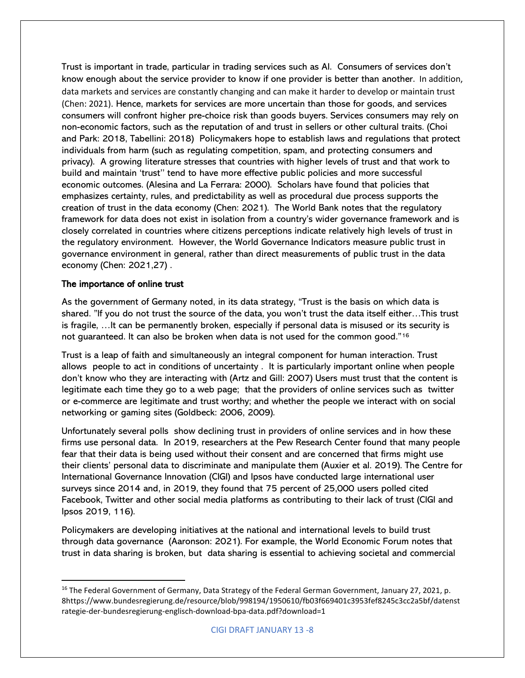Trust is important in trade, particular in trading services such as AI. Consumers of services don't know enough about the service provider to know if one provider is better than another. In addition, data markets and services are constantly changing and can make it harder to develop or maintain trust (Chen: 2021). Hence, markets for services are more uncertain than those for goods, and services consumers will confront higher pre-choice risk than goods buyers. Services consumers may rely on non-economic factors, such as the reputation of and trust in sellers or other cultural traits. (Choi and Park: 2018, Tabellini: 2018) Policymakers hope to establish laws and regulations that protect individuals from harm (such as regulating competition, spam, and protecting consumers and privacy). A growing literature stresses that countries with higher levels of trust and that work to build and maintain 'trust'' tend to have more effective public policies and more successful economic outcomes. (Alesina and La Ferrara: 2000). Scholars have found that policies that emphasizes certainty, rules, and predictability as well as procedural due process supports the creation of trust in the data economy (Chen: 2021). The World Bank notes that the regulatory framework for data does not exist in isolation from a country's wider governance framework and is closely correlated in countries where citizens perceptions indicate relatively high levels of trust in the regulatory environment. However, the World Governance Indicators measure public trust in governance environment in general, rather than direct measurements of public trust in the data economy (Chen: 2021,27) .

### The importance of online trust

As the government of Germany noted, in its data strategy, "Trust is the basis on which data is shared. "If you do not trust the source of the data, you won't trust the data itself either…This trust is fragile, …It can be permanently broken, especially if personal data is misused or its security is not guaranteed. It can also be broken when data is not used for the common good."[16](#page-7-0)

Trust is a leap of faith and simultaneously an integral component for human interaction. Trust allows people to act in conditions of uncertainty . It is particularly important online when people don't know who they are interacting with (Artz and Gill: 2007) Users must trust that the content is legitimate each time they go to a web page; that the providers of online services such as twitter or e-commerce are legitimate and trust worthy; and whether the people we interact with on social networking or gaming sites (Goldbeck: 2006, 2009).

Unfortunately several polls show declining trust in providers of online services and in how these firms use personal data. In 2019, researchers at the Pew Research Center found that many people fear that their data is being used without their consent and are concerned that firms might use their clients' personal data to discriminate and manipulate them (Auxier et al. 2019). The Centre for International Governance Innovation (CIGI) and Ipsos have conducted large international user surveys since 2014 and, in 2019, they found that 75 percent of 25,000 users polled cited Facebook, Twitter and other social media platforms as contributing to their lack of trust (CIGI and Ipsos 2019, 116).

Policymakers are developing initiatives at the national and international levels to build trust through data governance (Aaronson: 2021). For example, the World Economic Forum notes that trust in data sharing is broken, but data sharing is essential to achieving societal and commercial

<span id="page-7-0"></span><sup>&</sup>lt;sup>16</sup> The Federal Government of Germany, Data Strategy of the Federal German Government, January 27, 2021, p. 8https://www.bundesregierung.de/resource/blob/998194/1950610/fb03f669401c3953fef8245c3cc2a5bf/datenst rategie-der-bundesregierung-englisch-download-bpa-data.pdf?download=1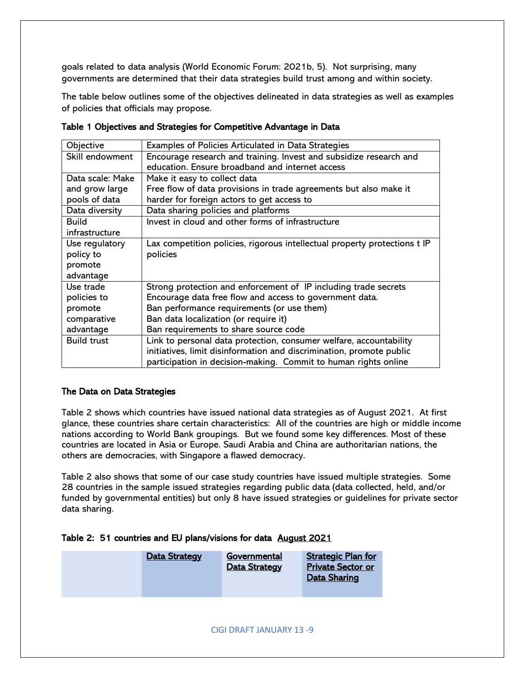goals related to data analysis (World Economic Forum: 2021b, 5). Not surprising, many governments are determined that their data strategies build trust among and within society.

The table below outlines some of the objectives delineated in data strategies as well as examples of policies that officials may propose.

| Objective          | Examples of Policies Articulated in Data Strategies                       |
|--------------------|---------------------------------------------------------------------------|
| Skill endowment    | Encourage research and training. Invest and subsidize research and        |
|                    | education. Ensure broadband and internet access                           |
| Data scale: Make   | Make it easy to collect data                                              |
| and grow large     | Free flow of data provisions in trade agreements but also make it         |
| pools of data      | harder for foreign actors to get access to                                |
| Data diversity     | Data sharing policies and platforms                                       |
| <b>Build</b>       | Invest in cloud and other forms of infrastructure                         |
| infrastructure     |                                                                           |
| Use regulatory     | Lax competition policies, rigorous intellectual property protections t IP |
| policy to          | policies                                                                  |
| promote            |                                                                           |
| advantage          |                                                                           |
| Use trade          | Strong protection and enforcement of IP including trade secrets           |
| policies to        | Encourage data free flow and access to government data.                   |
| promote            | Ban performance requirements (or use them)                                |
| comparative        | Ban data localization (or require it)                                     |
| advantage          | Ban requirements to share source code                                     |
| <b>Build trust</b> | Link to personal data protection, consumer welfare, accountability        |
|                    | initiatives, limit disinformation and discrimination, promote public      |
|                    | participation in decision-making. Commit to human rights online           |

Table 1 Objectives and Strategies for Competitive Advantage in Data

# The Data on Data Strategies

Table 2 shows which countries have issued national data strategies as of August 2021. At first glance, these countries share certain characteristics: All of the countries are high or middle income nations according to World Bank groupings. But we found some key differences. Most of these countries are located in Asia or Europe. Saudi Arabia and China are authoritarian nations, the others are democracies, with Singapore a flawed democracy.

Table 2 also shows that some of our case study countries have issued multiple strategies. Some 28 countries in the sample issued strategies regarding public data (data collected, held, and/or funded by governmental entities) but only 8 have issued strategies or guidelines for private sector data sharing.

| Table 2: 51 countries and EU plans/visions for data August 2021 |  |
|-----------------------------------------------------------------|--|
|-----------------------------------------------------------------|--|

| Data Strategy | Governmental<br>Data Strategy | <b>Strategic Plan for</b><br><b>Private Sector or</b><br><b>Data Sharing</b> |
|---------------|-------------------------------|------------------------------------------------------------------------------|
|               |                               |                                                                              |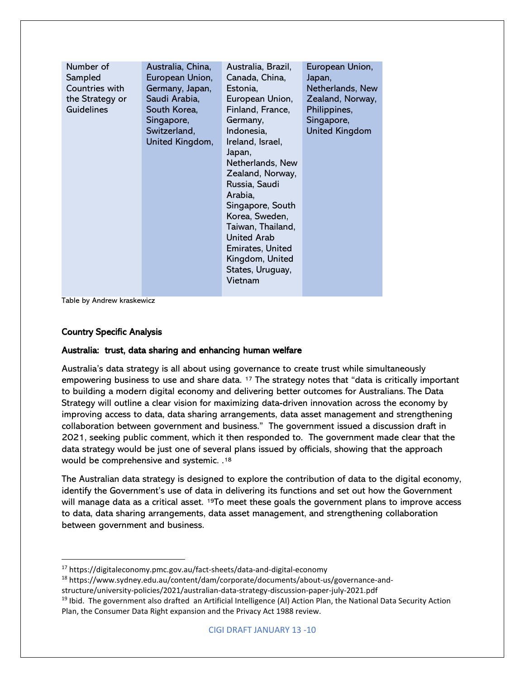| Number of<br>Sampled<br>Countries with<br>the Strategy or<br>Guidelines | Australia, China,<br>European Union,<br>Germany, Japan,<br>Saudi Arabia,<br>South Korea,<br>Singapore,<br>Switzerland,<br>United Kingdom, | Australia, Brazil,<br>Canada, China,<br>Estonia,<br>European Union,<br>Finland, France,<br>Germany,<br>Indonesia,<br>Ireland, Israel,<br>Japan,<br>Netherlands, New<br>Zealand, Norway,<br>Russia, Saudi<br>Arabia,<br>Singapore, South<br>Korea, Sweden,<br>Taiwan, Thailand,<br><b>United Arab</b><br>Emirates, United<br>Kingdom, United<br>States, Uruguay,<br>Vietnam | European Union,<br>Japan,<br>Netherlands, New<br>Zealand, Norway,<br>Philippines,<br>Singapore,<br><b>United Kingdom</b> |
|-------------------------------------------------------------------------|-------------------------------------------------------------------------------------------------------------------------------------------|----------------------------------------------------------------------------------------------------------------------------------------------------------------------------------------------------------------------------------------------------------------------------------------------------------------------------------------------------------------------------|--------------------------------------------------------------------------------------------------------------------------|
|-------------------------------------------------------------------------|-------------------------------------------------------------------------------------------------------------------------------------------|----------------------------------------------------------------------------------------------------------------------------------------------------------------------------------------------------------------------------------------------------------------------------------------------------------------------------------------------------------------------------|--------------------------------------------------------------------------------------------------------------------------|

Table by Andrew kraskewicz

### Country Specific Analysis

### Australia: trust, data sharing and enhancing human welfare

Australia's data strategy is all about using governance to create trust while simultaneously empowering business to use and share data. [17](#page-9-0) The strategy notes that "data is critically important to building a modern digital economy and delivering better outcomes for Australians. The Data Strategy will outline a clear vision for maximizing data-driven innovation across the economy by improving access to data, data sharing arrangements, data asset management and strengthening collaboration between government and business." The government issued a discussion draft in 2021, seeking public comment, which it then responded to. The government made clear that the data strategy would be just one of several plans issued by officials, showing that the approach would be comprehensive and systemic. .[18](#page-9-1)

The Australian data strategy is designed to explore the contribution of data to the digital economy, identify the Government's use of data in delivering its functions and set out how the Government will manage data as a critical asset. [19T](#page-9-2)o meet these goals the government plans to improve access to data, data sharing arrangements, data asset management, and strengthening collaboration between government and business.

<span id="page-9-0"></span><sup>17</sup> https://digitaleconomy.pmc.gov.au/fact-sheets/data-and-digital-economy

<span id="page-9-1"></span><sup>18</sup> https://www.sydney.edu.au/content/dam/corporate/documents/about-us/governance-and-

structure/university-policies/2021/australian-data-strategy-discussion-paper-july-2021.pdf

<span id="page-9-2"></span> $19$  Ibid. The government also drafted an Artificial Intelligence (AI) Action Plan, the National Data Security Action Plan, the Consumer Data Right expansion and the Privacy Act 1988 review.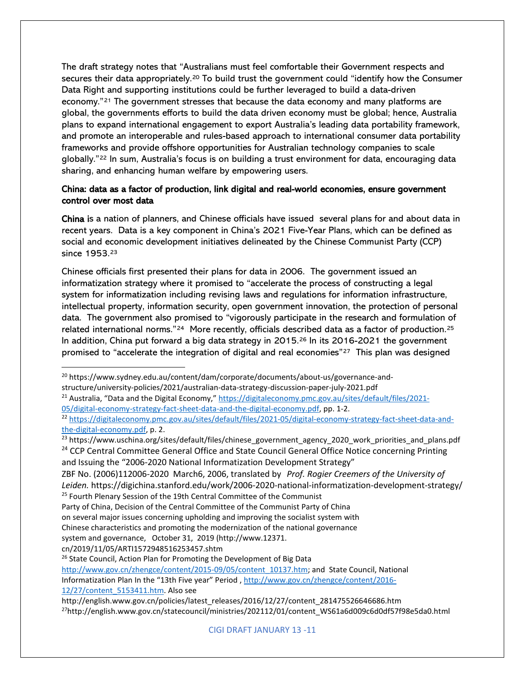The draft strategy notes that "Australians must feel comfortable their Government respects and secures their data appropriately.[20](#page-10-0) To build trust the government could "identify how the Consumer Data Right and supporting institutions could be further leveraged to build a data-driven economy."[21](#page-10-1) The government stresses that because the data economy and many platforms are global, the governments efforts to build the data driven economy must be global; hence, Australia plans to expand international engagement to export Australia's leading data portability framework, and promote an interoperable and rules-based approach to international consumer data portability frameworks and provide offshore opportunities for Australian technology companies to scale globally."[22](#page-10-2) In sum, Australia's focus is on building a trust environment for data, encouraging data sharing, and enhancing human welfare by empowering users.

# China: data as a factor of production, link digital and real-world economies, ensure government control over most data

China is a nation of planners, and Chinese officials have issued several plans for and about data in recent years. Data is a key component in China's 2021 Five-Year Plans, which can be defined as social and economic development initiatives delineated by the Chinese Communist Party (CCP) since 1953.[23](#page-10-3)

Chinese officials first presented their plans for data in 2006. The government issued an informatization strategy where it promised to "accelerate the process of constructing a legal system for informatization including revising laws and regulations for information infrastructure, intellectual property, information security, open government innovation, the protection of personal data. The government also promised to "vigorously participate in the research and formulation of related international norms."[24](#page-10-4) More recently, officials described data as a factor of production.[25](#page-10-5) In addition, China put forward a big data strategy in  $2015<sup>26</sup>$  $2015<sup>26</sup>$  $2015<sup>26</sup>$  In its 2016-2021 the government promised to "accelerate the integration of digital and real economies"<sup>27</sup> This plan was designed

structure/university-policies/2021/australian-data-strategy-discussion-paper-july-2021.pdf

[05/digital-economy-strategy-fact-sheet-data-and-the-digital-economy.pdf,](https://digitaleconomy.pmc.gov.au/sites/default/files/2021-05/digital-economy-strategy-fact-sheet-data-and-the-digital-economy.pdf) pp. 1-2.

and Issuing the "2006-2020 National Informatization Development Strategy"

ZBF No. (2006)112006-2020 March6, 2006, translated by *Prof. Rogier Creemers of the University of Leiden.* https://digichina.stanford.edu/work/2006-2020-national-informatization-development-strategy/ <sup>25</sup> Fourth Plenary Session of the 19th Central Committee of the Communist

cn/2019/11/05/ARTI1572948516253457.shtm

<span id="page-10-6"></span><sup>26</sup> State Council, Action Plan for Promoting the Development of Big Data

[http://www.gov.cn/zhengce/content/2015-09/05/content\\_10137.htm;](http://www.gov.cn/zhengce/content/2015-09/05/content_10137.htm) and State Council, National

Informatization Plan In the "13th Five year" Period [, http://www.gov.cn/zhengce/content/2016-](http://www.gov.cn/zhengce/content/2016-12/27/content_5153411.htm) [12/27/content\\_5153411.htm.](http://www.gov.cn/zhengce/content/2016-12/27/content_5153411.htm) Also see

<span id="page-10-0"></span><sup>&</sup>lt;sup>20</sup> https://www.sydney.edu.au/content/dam/corporate/documents/about-us/governance-and-

<span id="page-10-1"></span><sup>&</sup>lt;sup>21</sup> Australia, "Data and the Digital Economy," [https://digitaleconomy.pmc.gov.au/sites/default/files/2021-](https://digitaleconomy.pmc.gov.au/sites/default/files/2021-05/digital-economy-strategy-fact-sheet-data-and-the-digital-economy.pdf)

<span id="page-10-2"></span><sup>&</sup>lt;sup>22</sup> [https://digitaleconomy.pmc.gov.au/sites/default/files/2021-05/digital-economy-strategy-fact-sheet-data-and](https://digitaleconomy.pmc.gov.au/sites/default/files/2021-05/digital-economy-strategy-fact-sheet-data-and-the-digital-economy.pdf)[the-digital-economy.pdf,](https://digitaleconomy.pmc.gov.au/sites/default/files/2021-05/digital-economy-strategy-fact-sheet-data-and-the-digital-economy.pdf) p. 2.

<span id="page-10-4"></span><span id="page-10-3"></span><sup>&</sup>lt;sup>23</sup> https://www.uschina.org/sites/default/files/chinese\_government\_agency\_2020\_work\_priorities\_and\_plans.pdf <sup>24</sup> CCP Central Committee General Office and State Council General Office Notice concerning Printing

<span id="page-10-5"></span>Party of China, Decision of the Central Committee of the Communist Party of China

on several major issues concerning upholding and improving the socialist system with

Chinese characteristics and promoting the modernization of the national governance

system and governance, October 31, 2019 (http://www.12371.

<span id="page-10-7"></span>http://english.www.gov.cn/policies/latest\_releases/2016/12/27/content\_281475526646686.htm <sup>27</sup>http://english.www.gov.cn/statecouncil/ministries/202112/01/content\_WS61a6d009c6d0df57f98e5da0.html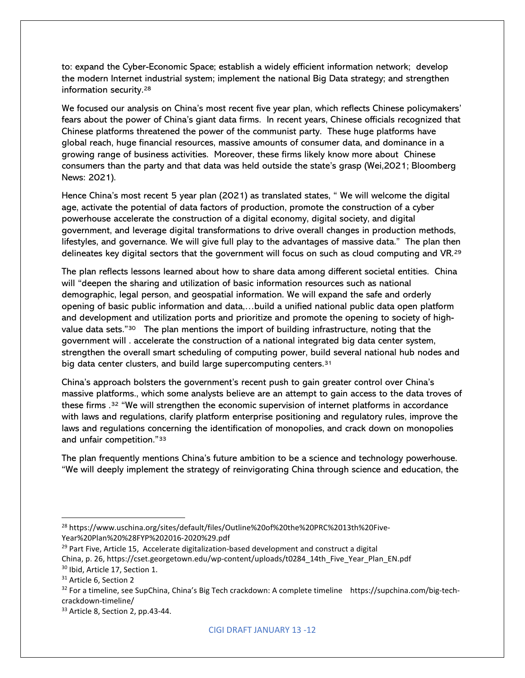to: expand the Cyber-Economic Space; establish a widely efficient information network; develop the modern Internet industrial system; implement the national Big Data strategy; and strengthen information security.[28](#page-11-0)

We focused our analysis on China's most recent five year plan, which reflects Chinese policymakers' fears about the power of China's giant data firms. In recent years, Chinese officials recognized that Chinese platforms threatened the power of the communist party. These huge platforms have global reach, huge financial resources, massive amounts of consumer data, and dominance in a growing range of business activities. Moreover, these firms likely know more about Chinese consumers than the party and that data was held outside the state's grasp (Wei,2021; Bloomberg News: 2021).

Hence China's most recent 5 year plan (2021) as translated states, " We will welcome the digital age, activate the potential of data factors of production, promote the construction of a cyber powerhouse accelerate the construction of a digital economy, digital society, and digital government, and leverage digital transformations to drive overall changes in production methods, lifestyles, and governance. We will give full play to the advantages of massive data." The plan then delineates key digital sectors that the government will focus on such as cloud computing and VR.[29](#page-11-1)

The plan reflects lessons learned about how to share data among different societal entities. China will "deepen the sharing and utilization of basic information resources such as national demographic, legal person, and geospatial information. We will expand the safe and orderly opening of basic public information and data,…build a unified national public data open platform and development and utilization ports and prioritize and promote the opening to society of highvalue data sets."[30](#page-11-2) The plan mentions the import of building infrastructure, noting that the government will . accelerate the construction of a national integrated big data center system, strengthen the overall smart scheduling of computing power, build several national hub nodes and big data center clusters, and build large supercomputing centers.<sup>[31](#page-11-3)</sup>

China's approach bolsters the government's recent push to gain greater control over China's massive platforms., which some analysts believe are an attempt to gain access to the data troves of these firms .[32](#page-11-4) "We will strengthen the economic supervision of internet platforms in accordance with laws and regulations, clarify platform enterprise positioning and regulatory rules, improve the laws and regulations concerning the identification of monopolies, and crack down on monopolies and unfair competition."[33](#page-11-5) 

The plan frequently mentions China's future ambition to be a science and technology powerhouse. "We will deeply implement the strategy of reinvigorating China through science and education, the

<span id="page-11-0"></span><sup>&</sup>lt;sup>28</sup> https://www.uschina.org/sites/default/files/Outline%20of%20the%20PRC%2013th%20Five-Year%20Plan%20%28FYP%202016-2020%29.pdf

<span id="page-11-1"></span> $29$  Part Five, Article 15, Accelerate digitalization-based development and construct a digital China, p. 26, https://cset.georgetown.edu/wp-content/uploads/t0284\_14th\_Five\_Year\_Plan\_EN.pdf <sup>30</sup> Ibid, Article 17, Section 1.

<span id="page-11-3"></span><span id="page-11-2"></span><sup>&</sup>lt;sup>31</sup> Article 6, Section 2

<span id="page-11-4"></span><sup>32</sup> For a timeline, see SupChina, China's Big Tech crackdown: A complete timeline https://supchina.com/big-techcrackdown-timeline/

<span id="page-11-5"></span><sup>&</sup>lt;sup>33</sup> Article 8, Section 2, pp.43-44.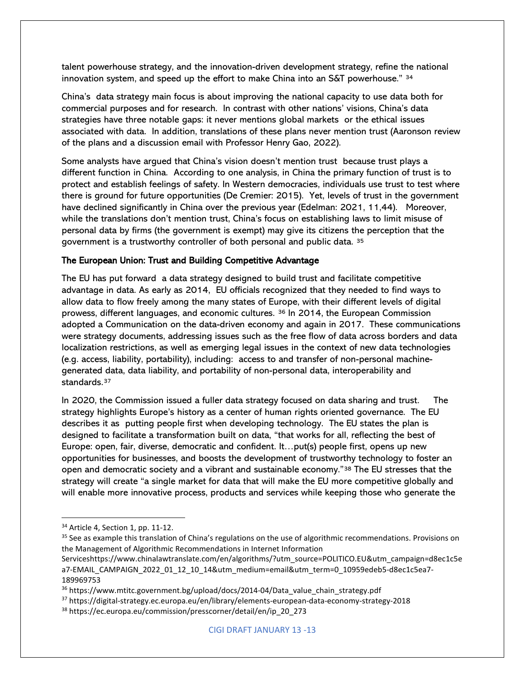talent powerhouse strategy, and the innovation-driven development strategy, refine the national innovation system, and speed up the effort to make China into an S&T powerhouse."  $34$ 

China's data strategy main focus is about improving the national capacity to use data both for commercial purposes and for research. In contrast with other nations' visions, China's data strategies have three notable gaps: it never mentions global markets or the ethical issues associated with data. In addition, translations of these plans never mention trust (Aaronson review of the plans and a discussion email with Professor Henry Gao, 2022).

Some analysts have argued that China's vision doesn't mention trust because trust plays a different function in China. According to one analysis, in China the primary function of trust is to protect and establish feelings of safety. In Western democracies, individuals use trust to test where there is ground for future opportunities (De Cremier: 2015). Yet, levels of trust in the government have declined significantly in China over the previous year (Edelman: 2021, 11,44). Moreover, while the translations don't mention trust, China's focus on establishing laws to limit misuse of personal data by firms (the government is exempt) may give its citizens the perception that the government is a trustworthy controller of both personal and public data. [35](#page-12-1)

### The European Union: Trust and Building Competitive Advantage

The EU has put forward a data strategy designed to build trust and facilitate competitive advantage in data. As early as 2014, EU officials recognized that they needed to find ways to allow data to flow freely among the many states of Europe, with their different levels of digital prowess, different languages, and economic cultures. [36](#page-12-2) In 2014, the European Commission adopted a Communication on the data-driven economy and again in 2017. These communications were strategy documents, addressing issues such as the free flow of data across borders and data localization restrictions, as well as emerging legal issues in the context of new data technologies (e.g. access, liability, portability), including: access to and transfer of non-personal machinegenerated data, data liability, and portability of non-personal data, interoperability and standards.<sup>[37](#page-12-3)</sup>

In 2020, the Commission issued a fuller data strategy focused on data sharing and trust. The strategy highlights Europe's history as a center of human rights oriented governance. The EU describes it as putting people first when developing technology. The EU states the plan is designed to facilitate a transformation built on data, "that works for all, reflecting the best of Europe: open, fair, diverse, democratic and confident. It…put(s) people first, opens up new opportunities for businesses, and boosts the development of trustworthy technology to foster an open and democratic society and a vibrant and sustainable economy."[38](#page-12-4) The EU stresses that the strategy will create "a single market for data that will make the EU more competitive globally and will enable more innovative process, products and services while keeping those who generate the

<span id="page-12-0"></span><sup>34</sup> Article 4, Section 1, pp. 11-12.

<span id="page-12-1"></span><sup>&</sup>lt;sup>35</sup> See as example this translation of China's regulations on the use of algorithmic recommendations. Provisions on the Management of Algorithmic Recommendations in Internet Information

Serviceshttps://www.chinalawtranslate.com/en/algorithms/?utm\_source=POLITICO.EU&utm\_campaign=d8ec1c5e a7-EMAIL\_CAMPAIGN\_2022\_01\_12\_10\_14&utm\_medium=email&utm\_term=0\_10959edeb5-d8ec1c5ea7- 189969753

<span id="page-12-2"></span> $36$  https://www.mtitc.government.bg/upload/docs/2014-04/Data\_value\_chain\_strategy.pdf

<span id="page-12-3"></span><sup>37</sup> https://digital-strategy.ec.europa.eu/en/library/elements-european-data-economy-strategy-2018

<span id="page-12-4"></span><sup>38</sup> https://ec.europa.eu/commission/presscorner/detail/en/ip\_20\_273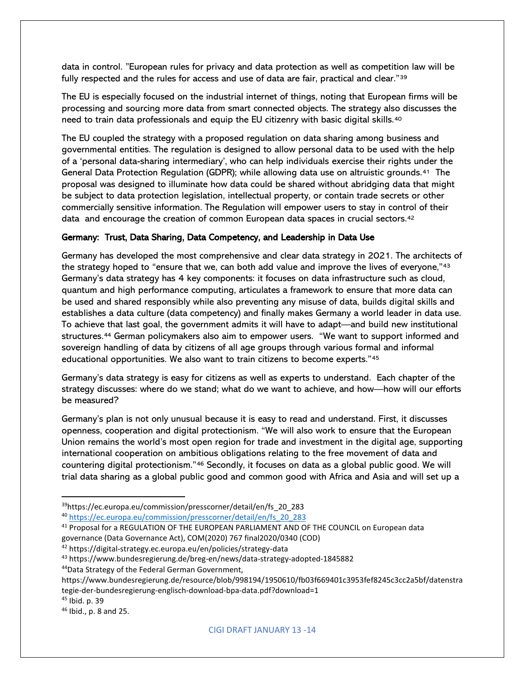data in control. "European rules for privacy and data protection as well as competition law will be fully respected and the rules for access and use of data are fair, practical and clear."[39](#page-13-0) 

The EU is especially focused on the industrial internet of things, noting that European firms will be processing and sourcing more data from smart connected objects. The strategy also discusses the need to train data professionals and equip the EU citizenry with basic digital skills.<sup>[40](#page-13-1)</sup>

The EU coupled the strategy with a proposed regulation on data sharing among business and governmental entities. The regulation is designed to allow personal data to be used with the help of a 'personal data-sharing intermediary', who can help individuals exercise their rights under the General Data Protection Regulation (GDPR); while allowing data use on altruistic grounds.[41](#page-13-2) The proposal was designed to illuminate how data could be shared without abridging data that might be subject to data protection legislation, intellectual property, or contain trade secrets or other commercially sensitive information. The Regulation will empower users to stay in control of their data and encourage the creation of common European data spaces in crucial sectors.[42](#page-13-3)

### Germany: Trust, Data Sharing, Data Competency, and Leadership in Data Use

Germany has developed the most comprehensive and clear data strategy in 2021. The architects of the strategy hoped to "ensure that we, can both add value and improve the lives of everyone,"<sup>[43](#page-13-4)</sup> Germany's data strategy has 4 key components: it focuses on data infrastructure such as cloud, quantum and high performance computing, articulates a framework to ensure that more data can be used and shared responsibly while also preventing any misuse of data, builds digital skills and establishes a data culture (data competency) and finally makes Germany a world leader in data use. To achieve that last goal, the government admits it will have to adapt—and build new institutional structures.[44](#page-13-5) German policymakers also aim to empower users. "We want to support informed and sovereign handling of data by citizens of all age groups through various formal and informal educational opportunities. We also want to train citizens to become experts."[45](#page-13-6)

Germany's data strategy is easy for citizens as well as experts to understand. Each chapter of the strategy discusses: where do we stand; what do we want to achieve, and how—how will our efforts be measured?

Germany's plan is not only unusual because it is easy to read and understand. First, it discusses openness, cooperation and digital protectionism. "We will also work to ensure that the European Union remains the world's most open region for trade and investment in the digital age, supporting international cooperation on ambitious obligations relating to the free movement of data and countering digital protectionism."[46](#page-13-7) Secondly, it focuses on data as a global public good. We will trial data sharing as a global public good and common good with Africa and Asia and will set up a

<span id="page-13-5"></span>44Data Strategy of the Federal German Government,

<span id="page-13-0"></span><sup>39</sup>https://ec.europa.eu/commission/presscorner/detail/en/fs\_20\_283

<span id="page-13-1"></span><sup>40</sup> [https://ec.europa.eu/commission/presscorner/detail/en/fs\\_20\\_283](https://ec.europa.eu/commission/presscorner/detail/en/fs_20_283)

<span id="page-13-2"></span><sup>41</sup> Proposal for a REGULATION OF THE EUROPEAN PARLIAMENT AND OF THE COUNCIL on European data governance (Data Governance Act), COM(2020) 767 final2020/0340 (COD)

<span id="page-13-3"></span><sup>42</sup> https://digital-strategy.ec.europa.eu/en/policies/strategy-data

<span id="page-13-4"></span><sup>43</sup> https://www.bundesregierung.de/breg-en/news/data-strategy-adopted-1845882

https://www.bundesregierung.de/resource/blob/998194/1950610/fb03f669401c3953fef8245c3cc2a5bf/datenstra tegie-der-bundesregierung-englisch-download-bpa-data.pdf?download=1

<span id="page-13-6"></span><sup>45</sup> Ibid. p. 39

<span id="page-13-7"></span><sup>46</sup> Ibid., p. 8 and 25.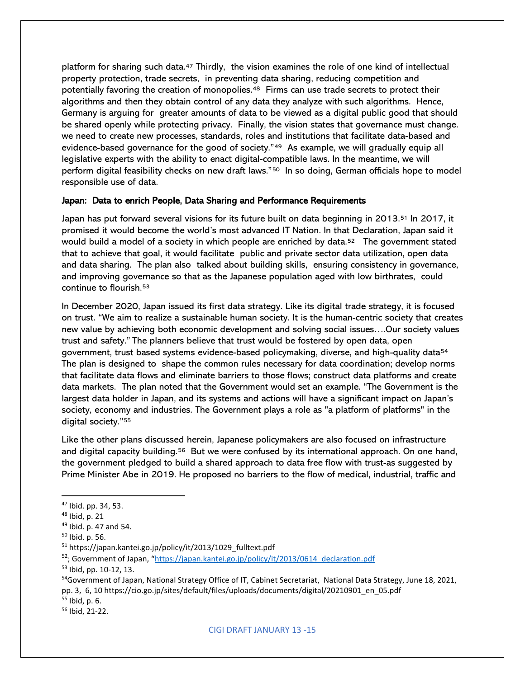platform for sharing such data.[47](#page-14-0) Thirdly, the vision examines the role of one kind of intellectual property protection, trade secrets, in preventing data sharing, reducing competition and potentially favoring the creation of monopolies.<sup>[48](#page-14-1)</sup> Firms can use trade secrets to protect their algorithms and then they obtain control of any data they analyze with such algorithms. Hence, Germany is arguing for greater amounts of data to be viewed as a digital public good that should be shared openly while protecting privacy. Finally, the vision states that governance must change. we need to create new processes, standards, roles and institutions that facilitate data-based and evidence-based governance for the good of society."<sup>49</sup> As example, we will gradually equip all legislative experts with the ability to enact digital-compatible laws. In the meantime, we will perform digital feasibility checks on new draft laws."[50](#page-14-3) In so doing, German officials hope to model responsible use of data.

#### Japan: Data to enrich People, Data Sharing and Performance Requirements

Japan has put forward several visions for its future built on data beginning in 2013.[51](#page-14-4) In 2017, it promised it would become the world's most advanced IT Nation. In that Declaration, Japan said it would build a model of a society in which people are enriched by data.<sup>52</sup> The government stated that to achieve that goal, it would facilitate public and private sector data utilization, open data and data sharing. The plan also talked about building skills, ensuring consistency in governance, and improving governance so that as the Japanese population aged with low birthrates, could continue to flourish.[53](#page-14-6)

In December 2020, Japan issued its first data strategy. Like its digital trade strategy, it is focused on trust. "We aim to realize a sustainable human society. It is the human-centric society that creates new value by achieving both economic development and solving social issues….Our society values trust and safety." The planners believe that trust would be fostered by open data, open government, trust based systems evidence-based policymaking, diverse, and high-quality data<sup>54</sup> The plan is designed to shape the common rules necessary for data coordination; develop norms that facilitate data flows and eliminate barriers to those flows; construct data platforms and create data markets. The plan noted that the Government would set an example. "The Government is the largest data holder in Japan, and its systems and actions will have a significant impact on Japan's society, economy and industries. The Government plays a role as "a platform of platforms" in the digital society.["55](#page-14-8)

Like the other plans discussed herein, Japanese policymakers are also focused on infrastructure and digital capacity building.<sup>[56](#page-14-9)</sup> But we were confused by its international approach. On one hand, the government pledged to build a shared approach to data free flow with trust-as suggested by Prime Minister Abe in 2019. He proposed no barriers to the flow of medical, industrial, traffic and

<span id="page-14-0"></span><sup>47</sup> Ibid. pp. 34, 53.

<span id="page-14-1"></span> $48$  Ibid, p. 21

<span id="page-14-2"></span><sup>49</sup> Ibid. p. 47 and 54.

<span id="page-14-3"></span><sup>50</sup> Ibid. p. 56.

<span id="page-14-4"></span><sup>51</sup> https://japan.kantei.go.jp/policy/it/2013/1029\_fulltext.pdf

<span id="page-14-5"></span><sup>52;</sup> Government of Japan, ["https://japan.kantei.go.jp/policy/it/2013/0614\\_declaration.pdf](https://japan.kantei.go.jp/policy/it/2013/0614_declaration.pdf)

<span id="page-14-6"></span><sup>53</sup> Ibid, pp. 10-12, 13.

<span id="page-14-7"></span><sup>&</sup>lt;sup>54</sup>Government of Japan, National Strategy Office of IT, Cabinet Secretariat, National Data Strategy, June 18, 2021, pp. 3, 6, 10 https://cio.go.jp/sites/default/files/uploads/documents/digital/20210901\_en\_05.pdf

<span id="page-14-8"></span> $55$  Ibid, p. 6.<br> $56$  Ibid, 21-22.

<span id="page-14-9"></span>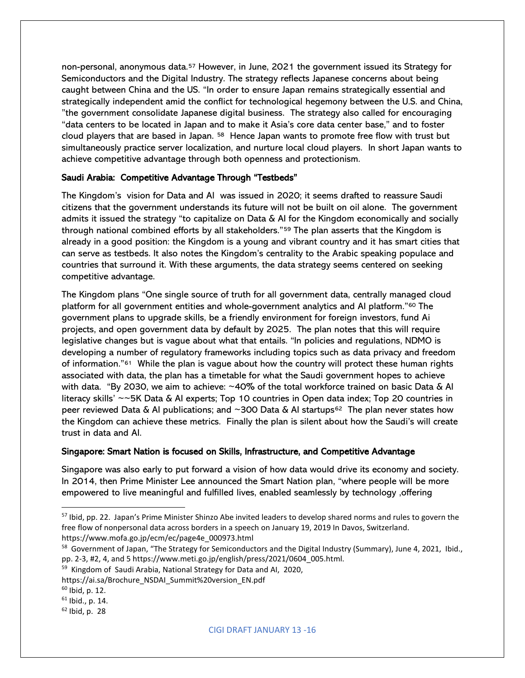non-personal, anonymous data.[57](#page-15-0) However, in June, 2021 the government issued its Strategy for Semiconductors and the Digital Industry. The strategy reflects Japanese concerns about being caught between China and the US. "In order to ensure Japan remains strategically essential and strategically independent amid the conflict for technological hegemony between the U.S. and China, "the government consolidate Japanese digital business. The strategy also called for encouraging "data centers to be located in Japan and to make it Asia's core data center base," and to foster cloud players that are based in Japan. [58](#page-15-1) Hence Japan wants to promote free flow with trust but simultaneously practice server localization, and nurture local cloud players. In short Japan wants to achieve competitive advantage through both openness and protectionism.

### Saudi Arabia: Competitive Advantage Through "Testbeds"

The Kingdom's vision for Data and AI was issued in 2020; it seems drafted to reassure Saudi citizens that the government understands its future will not be built on oil alone. The government admits it issued the strategy "to capitalize on Data & AI for the Kingdom economically and socially through national combined efforts by all stakeholders."[59](#page-15-2) The plan asserts that the Kingdom is already in a good position: the Kingdom is a young and vibrant country and it has smart cities that can serve as testbeds. It also notes the Kingdom's centrality to the Arabic speaking populace and countries that surround it. With these arguments, the data strategy seems centered on seeking competitive advantage.

The Kingdom plans "One single source of truth for all government data, centrally managed cloud platform for all government entities and whole-government analytics and AI platform."[60](#page-15-3) The government plans to upgrade skills, be a friendly environment for foreign investors, fund Ai projects, and open government data by default by 2025. The plan notes that this will require legislative changes but is vague about what that entails. "In policies and regulations, NDMO is developing a number of regulatory frameworks including topics such as data privacy and freedom of information.["61](#page-15-4) While the plan is vague about how the country will protect these human rights associated with data, the plan has a timetable for what the Saudi government hopes to achieve with data. "By 2030, we aim to achieve: ~40% of the total workforce trained on basic Data & AI literacy skills' ~~5K Data & AI experts; Top 10 countries in Open data index; Top 20 countries in peer reviewed Data & AI publications; and ~300 Data & AI startups<sup>[62](#page-15-5)</sup> The plan never states how the Kingdom can achieve these metrics. Finally the plan is silent about how the Saudi's will create trust in data and AI.

### Singapore: Smart Nation is focused on Skills, Infrastructure, and Competitive Advantage

Singapore was also early to put forward a vision of how data would drive its economy and society. In 2014, then Prime Minister Lee announced the Smart Nation plan, "where people will be more empowered to live meaningful and fulfilled lives, enabled seamlessly by technology ,offering

<span id="page-15-0"></span><sup>&</sup>lt;sup>57</sup> Ibid, pp. 22. Japan's Prime Minister Shinzo Abe invited leaders to develop shared norms and rules to govern the free flow of nonpersonal data across borders in a speech on January 19, 2019 In Davos, Switzerland. https://www.mofa.go.jp/ecm/ec/page4e\_000973.html

<span id="page-15-1"></span><sup>&</sup>lt;sup>58</sup> Government of Japan, "The Strategy for Semiconductors and the Digital Industry (Summary), June 4, 2021, Ibid., pp. 2-3, #2, 4, and 5 https://www.meti.go.jp/english/press/2021/0604\_005.html.

<span id="page-15-2"></span><sup>&</sup>lt;sup>59</sup> Kingdom of Saudi Arabia, National Strategy for Data and AI, 2020,

https://ai.sa/Brochure\_NSDAI\_Summit%20version\_EN.pdf

<span id="page-15-3"></span><sup>60</sup> Ibid, p. 12.

<span id="page-15-4"></span> $61$  Ibid., p. 14.

<span id="page-15-5"></span> $62$  Ibid, p. 28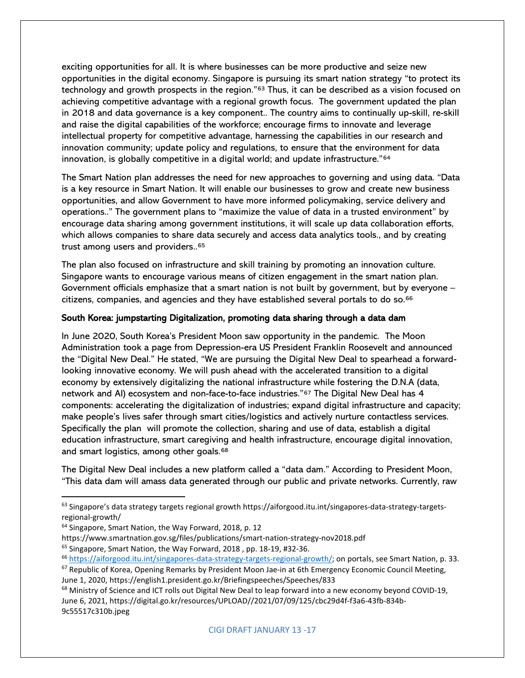exciting opportunities for all. It is where businesses can be more productive and seize new opportunities in the digital economy. Singapore is pursuing its smart nation strategy "to protect its technology and growth prospects in the region."<sup>[63](#page-16-0)</sup> Thus, it can be described as a vision focused on achieving competitive advantage with a regional growth focus. The government updated the plan in 2018 and data governance is a key component.. The country aims to continually up-skill, re-skill and raise the digital capabilities of the workforce; encourage firms to innovate and leverage intellectual property for competitive advantage, harnessing the capabilities in our research and innovation community; update policy and regulations, to ensure that the environment for data innovation, is globally competitive in a digital world; and update infrastructure."<sup>[64](#page-16-1)</sup>

The Smart Nation plan addresses the need for new approaches to governing and using data. "Data is a key resource in Smart Nation. It will enable our businesses to grow and create new business opportunities, and allow Government to have more informed policymaking, service delivery and operations.." The government plans to "maximize the value of data in a trusted environment" by encourage data sharing among government institutions, it will scale up data collaboration efforts, which allows companies to share data securely and access data analytics tools., and by creating trust among users and providers..[65](#page-16-2)

The plan also focused on infrastructure and skill training by promoting an innovation culture. Singapore wants to encourage various means of citizen engagement in the smart nation plan. Government officials emphasize that a smart nation is not built by government, but by everyone – citizens, companies, and agencies and they have established several portals to do so.[66](#page-16-3)

### South Korea: jumpstarting Digitalization, promoting data sharing through a data dam

In June 2020, South Korea's President Moon saw opportunity in the pandemic. The Moon Administration took a page from Depression-era US President Franklin Roosevelt and announced the "Digital New Deal." He stated, "We are pursuing the Digital New Deal to spearhead a forwardlooking innovative economy. We will push ahead with the accelerated transition to a digital economy by extensively digitalizing the national infrastructure while fostering the D.N.A (data, network and AI) ecosystem and non-face-to-face industries."[67](#page-16-4) The Digital New Deal has 4 components: accelerating the digitalization of industries; expand digital infrastructure and capacity; make people's lives safer through smart cities/logistics and actively nurture contactless services. Specifically the plan will promote the collection, sharing and use of data, establish a digital education infrastructure, smart caregiving and health infrastructure, encourage digital innovation, and smart logistics, among other goals.[68](#page-16-5)

The Digital New Deal includes a new platform called a "data dam." According to President Moon, "This data dam will amass data generated through our public and private networks. Currently, raw

<span id="page-16-5"></span><span id="page-16-4"></span><sup>68</sup> Ministry of Science and ICT rolls out Digital New Deal to leap forward into a new economy beyond COVID-19, June 6, 2021, https://digital.go.kr/resources/UPLOAD//2021/07/09/125/cbc29d4f-f3a6-43fb-834b-9c55517c310b.jpeg

<span id="page-16-0"></span><sup>63</sup> Singapore's data strategy targets regional growth https://aiforgood.itu.int/singapores-data-strategy-targetsregional-growth/

<span id="page-16-1"></span><sup>64</sup> Singapore, Smart Nation, the Way Forward, 2018, p. 12

https://www.smartnation.gov.sg/files/publications/smart-nation-strategy-nov2018.pdf

<span id="page-16-3"></span><span id="page-16-2"></span><sup>&</sup>lt;sup>65</sup> Singapore, Smart Nation, the Way Forward, 2018, pp. 18-19, #32-36. **66 [https://aiforgood.itu.int/singapores-data-strategy-targets-regional-growth/;](https://aiforgood.itu.int/singapores-data-strategy-targets-regional-growth/) on portals, see Smart Nation, p. 33.**  $67$  Republic of Korea, Opening Remarks by President Moon Jae-in at 6th Emergency Economic Council Meeting, June 1, 2020, https://english1.president.go.kr/Briefingspeeches/Speeches/833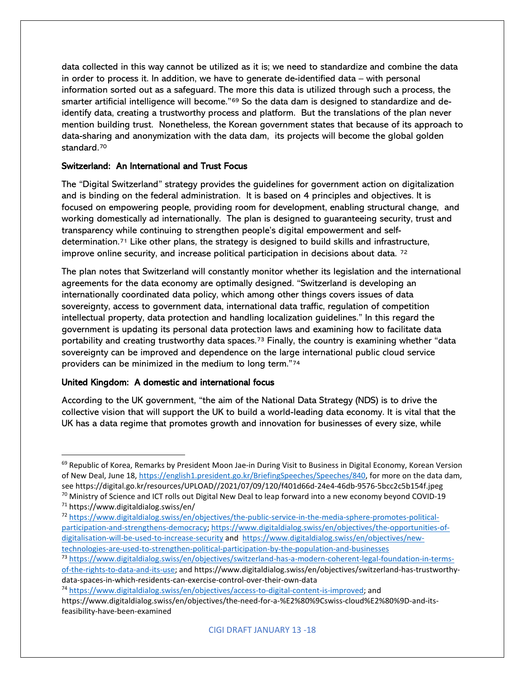data collected in this way cannot be utilized as it is; we need to standardize and combine the data in order to process it. In addition, we have to generate de-identified data – with personal information sorted out as a safeguard. The more this data is utilized through such a process, the smarter artificial intelligence will become."[69](#page-17-0) So the data dam is designed to standardize and deidentify data, creating a trustworthy process and platform. But the translations of the plan never mention building trust. Nonetheless, the Korean government states that because of its approach to data-sharing and anonymization with the data dam, its projects will become the global golden standard.[70](#page-17-1)

# Switzerland: An International and Trust Focus

The "Digital Switzerland" strategy provides the guidelines for government action on digitalization and is binding on the federal administration. It is based on 4 principles and objectives. It is focused on empowering people, providing room for development, enabling structural change, and working domestically ad internationally. The plan is designed to guaranteeing security, trust and transparency while continuing to strengthen people's digital empowerment and selfdetermination.[71](#page-17-2) Like other plans, the strategy is designed to build skills and infrastructure, improve online security, and increase political participation in decisions about data.  $72$ 

The plan notes that Switzerland will constantly monitor whether its legislation and the international agreements for the data economy are optimally designed. "Switzerland is developing an internationally coordinated data policy, which among other things covers issues of data sovereignty, access to government data, international data traffic, regulation of competition intellectual property, data protection and handling localization guidelines." In this regard the government is updating its personal data protection laws and examining how to facilitate data portability and creating trustworthy data spaces.<sup>[73](#page-17-4)</sup> Finally, the country is examining whether "data sovereignty can be improved and dependence on the large international public cloud service providers can be minimized in the medium to long term."[74](#page-17-5)

### United Kingdom: A domestic and international focus

According to the UK government, "the aim of the National Data Strategy (NDS) is to drive the collective vision that will support the UK to build a world-leading data economy. It is vital that the UK has a data regime that promotes growth and innovation for businesses of every size, while

- <span id="page-17-3"></span><sup>72</sup> [https://www.digitaldialog.swiss/en/objectives/the-public-service-in-the-media-sphere-promotes-political](https://www.digitaldialog.swiss/en/objectives/the-public-service-in-the-media-sphere-promotes-political-participation-and-strengthens-democracy)[participation-and-strengthens-democracy;](https://www.digitaldialog.swiss/en/objectives/the-public-service-in-the-media-sphere-promotes-political-participation-and-strengthens-democracy) [https://www.digitaldialog.swiss/en/objectives/the-opportunities-of](https://www.digitaldialog.swiss/en/objectives/the-opportunities-of-digitalisation-will-be-used-to-increase-security)[digitalisation-will-be-used-to-increase-security](https://www.digitaldialog.swiss/en/objectives/the-opportunities-of-digitalisation-will-be-used-to-increase-security) and [https://www.digitaldialog.swiss/en/objectives/new](https://www.digitaldialog.swiss/en/objectives/new-technologies-are-used-to-strengthen-political-participation-by-the-population-and-businesses)[technologies-are-used-to-strengthen-political-participation-by-the-population-and-businesses](https://www.digitaldialog.swiss/en/objectives/new-technologies-are-used-to-strengthen-political-participation-by-the-population-and-businesses)
- <span id="page-17-4"></span><sup>73</sup> [https://www.digitaldialog.swiss/en/objectives/switzerland-has-a-modern-coherent-legal-foundation-in-terms](https://www.digitaldialog.swiss/en/objectives/switzerland-has-a-modern-coherent-legal-foundation-in-terms-of-the-rights-to-data-and-its-use)[of-the-rights-to-data-and-its-use;](https://www.digitaldialog.swiss/en/objectives/switzerland-has-a-modern-coherent-legal-foundation-in-terms-of-the-rights-to-data-and-its-use) and https://www.digitaldialog.swiss/en/objectives/switzerland-has-trustworthydata-spaces-in-which-residents-can-exercise-control-over-their-own-data
- <span id="page-17-5"></span><sup>74</sup> [https://www.digitaldialog.swiss/en/objectives/access-to-digital-content-is-improved;](https://www.digitaldialog.swiss/en/objectives/access-to-digital-content-is-improved) and

<span id="page-17-0"></span><sup>69</sup> Republic of Korea, Remarks by President Moon Jae-in During Visit to Business in Digital Economy, Korean Version of New Deal, June 18, [https://english1.president.go.kr/BriefingSpeeches/Speeches/840,](https://english1.president.go.kr/BriefingSpeeches/Speeches/840) for more on the data dam, see https://digital.go.kr/resources/UPLOAD//2021/07/09/120/f401d66d-24e4-46db-9576-5bcc2c5b154f.jpeg  $70$  Ministry of Science and ICT rolls out Digital New Deal to leap forward into a new economy beyond COVID-19

<span id="page-17-2"></span><span id="page-17-1"></span><sup>71</sup> https://www.digitaldialog.swiss/en/

https://www.digitaldialog.swiss/en/objectives/the-need-for-a-%E2%80%9Cswiss-cloud%E2%80%9D-and-itsfeasibility-have-been-examined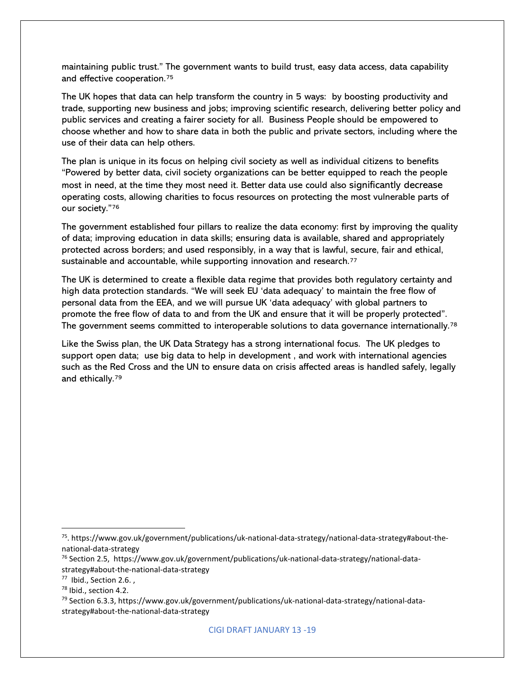maintaining public trust." The government wants to build trust, easy data access, data capability and effective cooperation.[75](#page-18-0)

The UK hopes that data can help transform the country in 5 ways: by boosting productivity and trade, supporting new business and jobs; improving scientific research, delivering better policy and public services and creating a fairer society for all. Business People should be empowered to choose whether and how to share data in both the public and private sectors, including where the use of their data can help others.

The plan is unique in its focus on helping civil society as well as individual citizens to benefits "Powered by better data, civil society organizations can be better equipped to reach the people most in need, at the time they most need it. Better data use could also significantly decrease operating costs, allowing charities to focus resources on protecting the most vulnerable parts of our society."[76](#page-18-1)

The government established four pillars to realize the data economy: first by improving the quality of data; improving education in data skills; ensuring data is available, shared and appropriately protected across borders; and used responsibly, in a way that is lawful, secure, fair and ethical, sustainable and accountable, while supporting innovation and research.<sup>[77](#page-18-2)</sup>

The UK is determined to create a flexible data regime that provides both regulatory certainty and high data protection standards. "We will seek EU 'data adequacy' to maintain the free flow of personal data from the EEA, and we will pursue UK 'data adequacy' with global partners to promote the free flow of data to and from the UK and ensure that it will be properly protected". The government seems committed to interoperable solutions to data governance internationally.<sup>[78](#page-18-3)</sup>

Like the Swiss plan, the UK Data Strategy has a strong international focus. The UK pledges to support open data; use big data to help in development , and work with international agencies such as the Red Cross and the UN to ensure data on crisis affected areas is handled safely, legally and ethically.[79](#page-18-4)

<span id="page-18-0"></span><sup>&</sup>lt;sup>75</sup>. https://www.gov.uk/government/publications/uk-national-data-strategy/national-data-strategy#about-thenational-data-strategy

<span id="page-18-1"></span><sup>&</sup>lt;sup>76</sup> Section 2.5, https://www.gov.uk/government/publications/uk-national-data-strategy/national-datastrategy#about-the-national-data-strategy

<span id="page-18-2"></span> $77$  Ibid., Section 2.6.,  $78$  Ibid., section 4.2.

<span id="page-18-3"></span>

<span id="page-18-4"></span><sup>79</sup> Section 6.3.3, https://www.gov.uk/government/publications/uk-national-data-strategy/national-datastrategy#about-the-national-data-strategy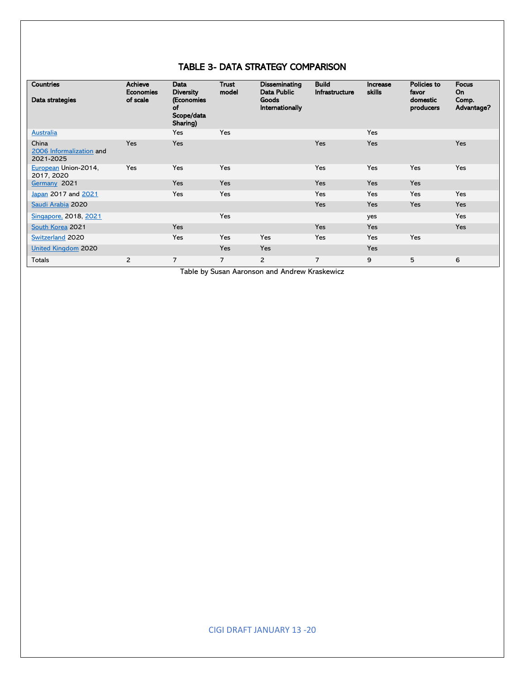# TABLE 3- DATA STRATEGY COMPARISON

| <b>Countries</b><br>Data strategies            | <b>Achieve</b><br><b>Economies</b><br>of scale | Data<br><b>Diversity</b><br>(Economies<br>of<br>Scope/data<br>Sharing) | Trust<br>model | <b>Disseminating</b><br>Data Public<br>Goods<br><b>Internationally</b> | <b>Build</b><br><b>Infrastructure</b> | Increase<br><b>skills</b> | Policies to<br>favor<br>domestic<br>producers | <b>Focus</b><br>On<br>Comp.<br>Advantage? |
|------------------------------------------------|------------------------------------------------|------------------------------------------------------------------------|----------------|------------------------------------------------------------------------|---------------------------------------|---------------------------|-----------------------------------------------|-------------------------------------------|
| <b>Australia</b>                               |                                                | Yes                                                                    | Yes            |                                                                        |                                       | <b>Yes</b>                |                                               |                                           |
| China<br>2006 Informalization and<br>2021-2025 | Yes                                            | Yes                                                                    |                |                                                                        | Yes                                   | Yes                       |                                               | Yes                                       |
| European Union-2014,<br>2017, 2020             | Yes                                            | Yes                                                                    | Yes            |                                                                        | <b>Yes</b>                            | <b>Yes</b>                | <b>Yes</b>                                    | Yes                                       |
| Germany 2021                                   |                                                | Yes                                                                    | Yes            |                                                                        | Yes                                   | Yes                       | Yes                                           |                                           |
| Japan 2017 and 2021                            |                                                | Yes                                                                    | Yes            |                                                                        | <b>Yes</b>                            | <b>Yes</b>                | <b>Yes</b>                                    | Yes                                       |
| Saudi Arabia 2020                              |                                                |                                                                        |                |                                                                        | Yes                                   | Yes                       | Yes                                           | Yes                                       |
| Singapore, 2018, 2021                          |                                                |                                                                        | Yes            |                                                                        |                                       | yes                       |                                               | Yes                                       |
| South Korea 2021                               |                                                | Yes                                                                    |                |                                                                        | Yes                                   | Yes                       |                                               | <b>Yes</b>                                |
| Switzerland 2020                               |                                                | Yes                                                                    | Yes            | Yes                                                                    | Yes                                   | Yes                       | Yes                                           |                                           |
| <b>United Kingdom 2020</b>                     |                                                |                                                                        | <b>Yes</b>     | <b>Yes</b>                                                             |                                       | <b>Yes</b>                |                                               |                                           |
| <b>Totals</b>                                  | 2                                              | 7                                                                      | $\overline{7}$ | $\overline{2}$                                                         | 7                                     | 9                         | 5                                             | 6                                         |

Table by Susan Aaronson and Andrew Kraskewicz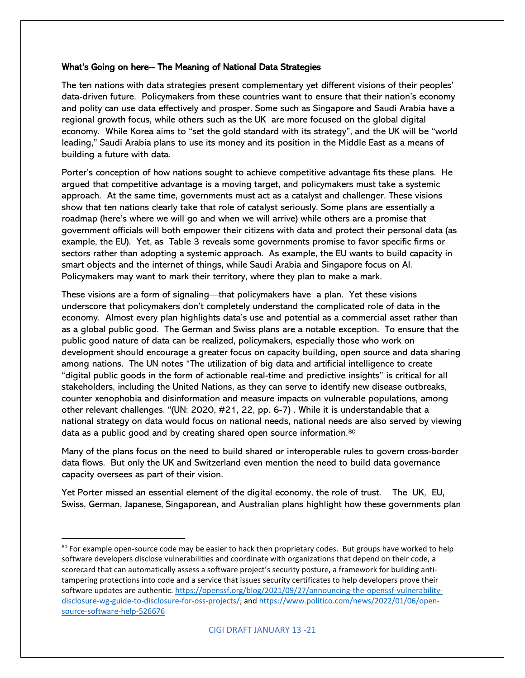### What's Going on here-- The Meaning of National Data Strategies

The ten nations with data strategies present complementary yet different visions of their peoples' data-driven future. Policymakers from these countries want to ensure that their nation's economy and polity can use data effectively and prosper. Some such as Singapore and Saudi Arabia have a regional growth focus, while others such as the UK are more focused on the global digital economy. While Korea aims to "set the gold standard with its strategy", and the UK will be "world leading," Saudi Arabia plans to use its money and its position in the Middle East as a means of building a future with data.

Porter's conception of how nations sought to achieve competitive advantage fits these plans. He argued that competitive advantage is a moving target, and policymakers must take a systemic approach. At the same time, governments must act as a catalyst and challenger. These visions show that ten nations clearly take that role of catalyst seriously. Some plans are essentially a roadmap (here's where we will go and when we will arrive) while others are a promise that government officials will both empower their citizens with data and protect their personal data (as example, the EU). Yet, as Table 3 reveals some governments promise to favor specific firms or sectors rather than adopting a systemic approach. As example, the EU wants to build capacity in smart objects and the internet of things, while Saudi Arabia and Singapore focus on AI. Policymakers may want to mark their territory, where they plan to make a mark.

These visions are a form of signaling—that policymakers have a plan. Yet these visions underscore that policymakers don't completely understand the complicated role of data in the economy. Almost every plan highlights data's use and potential as a commercial asset rather than as a global public good. The German and Swiss plans are a notable exception. To ensure that the public good nature of data can be realized, policymakers, especially those who work on development should encourage a greater focus on capacity building, open source and data sharing among nations. The UN notes "The utilization of big data and artificial intelligence to create "digital public goods in the form of actionable real-time and predictive insights" is critical for all stakeholders, including the United Nations, as they can serve to identify new disease outbreaks, counter xenophobia and disinformation and measure impacts on vulnerable populations, among other relevant challenges. "(UN: 2020, #21, 22, pp. 6-7) . While it is understandable that a national strategy on data would focus on national needs, national needs are also served by viewing data as a public good and by creating shared open source information[.80](#page-20-0)

Many of the plans focus on the need to build shared or interoperable rules to govern cross-border data flows. But only the UK and Switzerland even mention the need to build data governance capacity oversees as part of their vision.

Yet Porter missed an essential element of the digital economy, the role of trust. The UK, EU, Swiss, German, Japanese, Singaporean, and Australian plans highlight how these governments plan

<span id="page-20-0"></span><sup>&</sup>lt;sup>80</sup> For example open-source code may be easier to hack then proprietary codes. But groups have worked to help software developers disclose vulnerabilities and coordinate with organizations that depend on their code, a scorecard that can automatically assess a software project's security posture, a framework for building antitampering protections into code and a service that issues security certificates to help developers prove their software updates are authentic. [https://openssf.org/blog/2021/09/27/announcing-the-openssf-vulnerability](https://openssf.org/blog/2021/09/27/announcing-the-openssf-vulnerability-disclosure-wg-guide-to-disclosure-for-oss-projects/)[disclosure-wg-guide-to-disclosure-for-oss-projects/;](https://openssf.org/blog/2021/09/27/announcing-the-openssf-vulnerability-disclosure-wg-guide-to-disclosure-for-oss-projects/) and [https://www.politico.com/news/2022/01/06/open](https://www.politico.com/news/2022/01/06/open-source-software-help-526676)[source-software-help-526676](https://www.politico.com/news/2022/01/06/open-source-software-help-526676)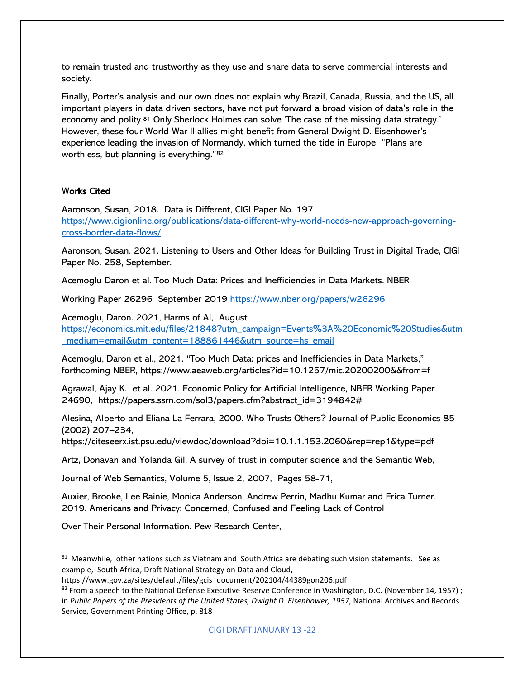to remain trusted and trustworthy as they use and share data to serve commercial interests and society.

Finally, Porter's analysis and our own does not explain why Brazil, Canada, Russia, and the US, all important players in data driven sectors, have not put forward a broad vision of data's role in the economy and polity.[81](#page-21-0) Only Sherlock Holmes can solve 'The case of the missing data strategy.' However, these four World War II allies might benefit from General Dwight D. Eisenhower's experience leading the invasion of Normandy, which turned the tide in Europe "Plans are worthless, but planning is everything."[82](#page-21-1)

## Works Cited

Aaronson, Susan, 2018. Data is Different, CIGI Paper No. 197 [https://www.cigionline.org/publications/data-different-why-world-needs-new-approach-governing](https://www.cigionline.org/publications/data-different-why-world-needs-new-approach-governing-cross-border-data-flows/)[cross-border-data-flows/](https://www.cigionline.org/publications/data-different-why-world-needs-new-approach-governing-cross-border-data-flows/)

Aaronson, Susan. 2021. Listening to Users and Other Ideas for Building Trust in Digital Trade, CIGI Paper No. 258, September.

Acemoglu Daron et al. Too Much Data: Prices and Inefficiencies in Data Markets. NBER

Working Paper 26296 September 2019<https://www.nber.org/papers/w26296>

Acemoglu, Daron. 2021, Harms of AI, August

[https://economics.mit.edu/files/21848?utm\\_campaign=Events%3A%20Economic%20Studies&utm](https://economics.mit.edu/files/21848?utm_campaign=Events%3A%20Economic%20Studies&utm_medium=email&utm_content=188861446&utm_source=hs_email) [\\_medium=email&utm\\_content=188861446&utm\\_source=hs\\_email](https://economics.mit.edu/files/21848?utm_campaign=Events%3A%20Economic%20Studies&utm_medium=email&utm_content=188861446&utm_source=hs_email)

Acemoglu, Daron et al., 2021. "Too Much Data: prices and Inefficiencies in Data Markets," forthcoming NBER, https://www.aeaweb.org/articles?id=10.1257/mic.20200200&&from=f

Agrawal, Ajay K. et al. 2021. Economic Policy for Artificial Intelligence, NBER Working Paper 24690, https://papers.ssrn.com/sol3/papers.cfm?abstract\_id=3194842#

Alesina, Alberto and Eliana La Ferrara, 2000. Who Trusts Others? Journal of Public Economics 85 (2002) 207–234,

https://citeseerx.ist.psu.edu/viewdoc/download?doi=10.1.1.153.2060&rep=rep1&type=pdf

Artz, Donavan and Yolanda Gil, A survey of trust in computer science and the Semantic Web,

Journal of Web Semantics, Volume 5, Issue 2, 2007, Pages 58-71,

Auxier, Brooke, Lee Rainie, Monica Anderson, Andrew Perrin, Madhu Kumar and Erica Turner. 2019. Americans and Privacy: Concerned, Confused and Feeling Lack of Control

Over Their Personal Information. Pew Research Center,

<span id="page-21-0"></span><sup>81</sup> Meanwhile, other nations such as Vietnam and South Africa are debating such vision statements. See as example, South Africa, Draft National Strategy on Data and Cloud,

https://www.gov.za/sites/default/files/gcis\_document/202104/44389gon206.pdf

<span id="page-21-1"></span> $82$  From a speech to the National Defense Executive Reserve Conference in Washington, D.C. (November 14, 1957); in *Public Papers of the Presidents of the United States, Dwight D. Eisenhower, 1957*, National Archives and Records Service, Government Printing Office, p. 818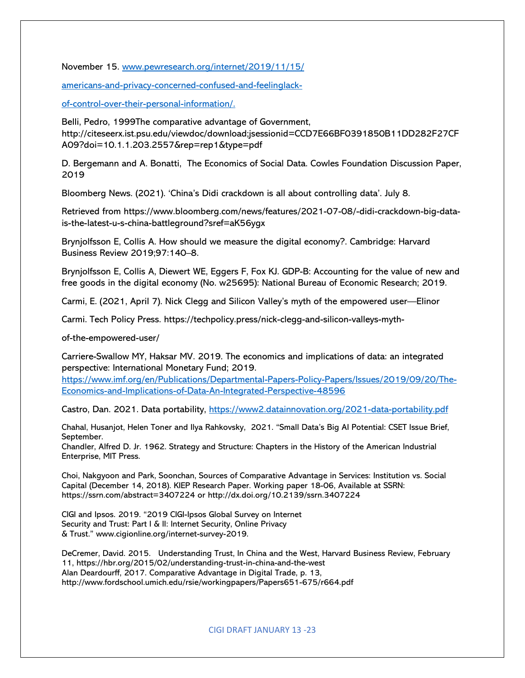November 15. www.pewresearch.org/internet/2019/11/15/

americans-and-privacy-concerned-confused-and-feelinglack-

of-control-over-their-personal-information/.

Belli, Pedro, 1999The comparative advantage of Government, http://citeseerx.ist.psu.edu/viewdoc/download;jsessionid=CCD7E66BF0391850B11DD282F27CF A09?doi=10.1.1.203.2557&rep=rep1&type=pdf

D. Bergemann and A. Bonatti, The Economics of Social Data. Cowles Foundation Discussion Paper, 2019

Bloomberg News. (2021). 'China's Didi crackdown is all about controlling data'. July 8.

Retrieved from https://www.bloomberg.com/news/features/2021-07-08/-didi-crackdown-big-datais-the-latest-u-s-china-battleground?sref=aK56ygx

Brynjolfsson E, Collis A. How should we measure the digital economy?. Cambridge: Harvard Business Review 2019;97:140–8.

Brynjolfsson E, Collis A, Diewert WE, Eggers F, Fox KJ. GDP-B: Accounting for the value of new and free goods in the digital economy (No. w25695): National Bureau of Economic Research; 2019.

Carmi, E. (2021, April 7). Nick Clegg and Silicon Valley's myth of the empowered user—Elinor

Carmi. Tech Policy Press. https://techpolicy.press/nick-clegg-and-silicon-valleys-myth-

of-the-empowered-user/

Carriere-Swallow MY, Haksar MV. 2019. The economics and implications of data: an integrated perspective: International Monetary Fund; 2019.

[https://www.imf.org/en/Publications/Departmental-Papers-Policy-Papers/Issues/2019/09/20/The-](https://www.imf.org/en/Publications/Departmental-Papers-Policy-Papers/Issues/2019/09/20/The-Economics-and-Implications-of-Data-An-Integrated-Perspective-48596)[Economics-and-Implications-of-Data-An-Integrated-Perspective-48596](https://www.imf.org/en/Publications/Departmental-Papers-Policy-Papers/Issues/2019/09/20/The-Economics-and-Implications-of-Data-An-Integrated-Perspective-48596)

Castro, Dan. 2021. Data portability,<https://www2.datainnovation.org/2021-data-portability.pdf>

Chahal, Husanjot, Helen Toner and Ilya Rahkovsky, 2021. "Small Data's Big AI Potential: CSET Issue Brief, September.

Chandler, Alfred D. Jr. 1962. Strategy and Structure: Chapters in the History of the American Industrial Enterprise, MIT Press.

Choi, Nakgyoon and Park, Soonchan, Sources of Comparative Advantage in Services: Institution vs. Social Capital (December 14, 2018). KIEP Research Paper. Working paper 18-06, Available at SSRN: https://ssrn.com/abstract=3407224 or http://dx.doi.org/10.2139/ssrn.3407224

CIGI and Ipsos. 2019. "2019 CIGI-Ipsos Global Survey on Internet Security and Trust: Part I & II: Internet Security, Online Privacy & Trust." www.cigionline.org/internet-survey-2019.

DeCremer, David. 2015. Understanding Trust, In China and the West, Harvard Business Review, February 11, https://hbr.org/2015/02/understanding-trust-in-china-and-the-west Alan Deardourff, 2017. Comparative Advantage in Digital Trade, p. 13, http://www.fordschool.umich.edu/rsie/workingpapers/Papers651-675/r664.pdf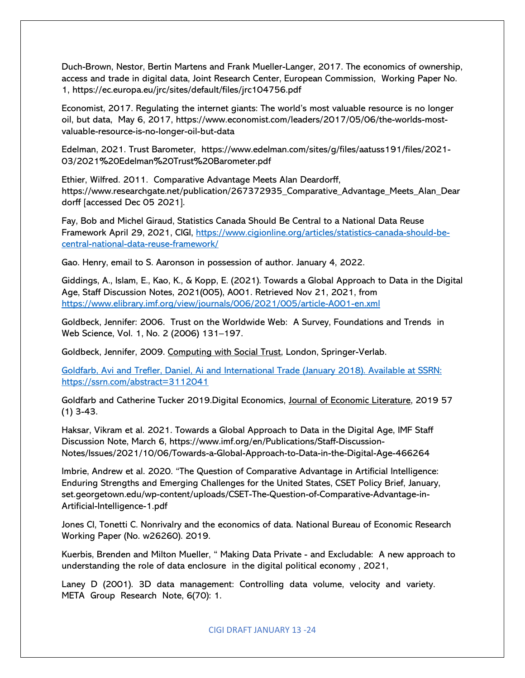Duch-Brown, Nestor, Bertin Martens and Frank Mueller-Langer, 2017. The economics of ownership, access and trade in digital data, Joint Research Center, European Commission, Working Paper No. 1, https://ec.europa.eu/jrc/sites/default/files/jrc104756.pdf

Economist, 2017. Regulating the internet giants: The world's most valuable resource is no longer oil, but data, May 6, 2017, https://www.economist.com/leaders/2017/05/06/the-worlds-mostvaluable-resource-is-no-longer-oil-but-data

Edelman, 2021. Trust Barometer, https://www.edelman.com/sites/g/files/aatuss191/files/2021- 03/2021%20Edelman%20Trust%20Barometer.pdf

Ethier, Wilfred. 2011. Comparative Advantage Meets Alan Deardorff, https://www.researchgate.net/publication/267372935\_Comparative\_Advantage\_Meets\_Alan\_Dear dorff [accessed Dec 05 2021].

Fay, Bob and Michel Giraud, Statistics Canada Should Be Central to a National Data Reuse Framework April 29, 2021, CIGI, [https://www.cigionline.org/articles/statistics-canada-should-be](https://www.cigionline.org/articles/statistics-canada-should-be-central-national-data-reuse-framework/)[central-national-data-reuse-framework/](https://www.cigionline.org/articles/statistics-canada-should-be-central-national-data-reuse-framework/)

Gao. Henry, email to S. Aaronson in possession of author. January 4, 2022.

Giddings, A., Islam, E., Kao, K., & Kopp, E. (2021). Towards a Global Approach to Data in the Digital Age, Staff Discussion Notes, 2021(005), A001. Retrieved Nov 21, 2021, from <https://www.elibrary.imf.org/view/journals/006/2021/005/article-A001-en.xml>

Goldbeck, Jennifer: 2006. Trust on the Worldwide Web: A Survey, Foundations and Trends in Web Science, Vol. 1, No. 2 (2006) 131–197.

Goldbeck, Jennifer, 2009. Computing with Social Trust, London, Springer-Verlab.

Goldfarb, Avi and Trefler, Daniel, Ai and International Trade (January 2018). Available at SSRN: https://ssrn.com/abstract=3112041

Goldfarb and Catherine Tucker 2019. Digital Economics, Journal of Economic Literature, 2019 57 (1) 3-43.

Haksar, Vikram et al. 2021. Towards a Global Approach to Data in the Digital Age, IMF Staff Discussion Note, March 6, https://www.imf.org/en/Publications/Staff-Discussion-Notes/Issues/2021/10/06/Towards-a-Global-Approach-to-Data-in-the-Digital-Age-466264

Imbrie, Andrew et al. 2020. "The Question of Comparative Advantage in Artificial Intelligence: Enduring Strengths and Emerging Challenges for the United States, CSET Policy Brief, January, set.georgetown.edu/wp-content/uploads/CSET-The-Question-of-Comparative-Advantage-in-Artificial-Intelligence-1.pdf

Jones CI, Tonetti C. Nonrivalry and the economics of data. National Bureau of Economic Research Working Paper (No. w26260). 2019.

Kuerbis, Brenden and Milton Mueller, " Making Data Private - and Excludable: A new approach to understanding the role of data enclosure in the digital political economy , 2021,

Laney D (2001). 3D data management: Controlling data volume, velocity and variety. META Group Research Note, 6(70): 1.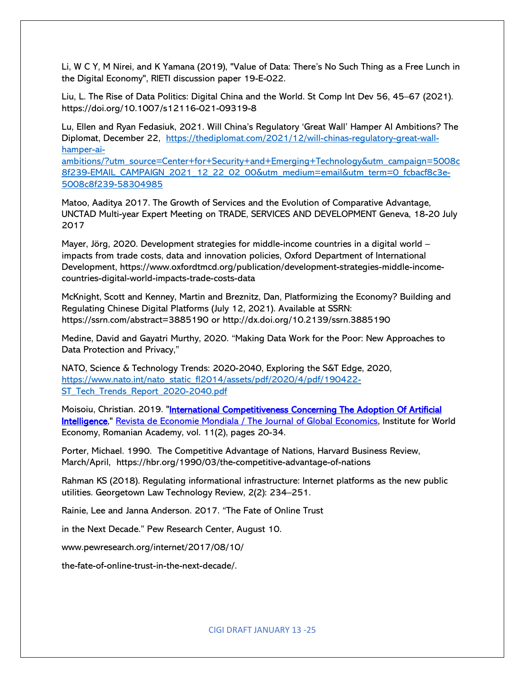Li, W C Y, M Nirei, and K Yamana (2019), "Value of Data: There's No Such Thing as a Free Lunch in the Digital Economy", RIETI discussion paper 19-E-022.

Liu, L. The Rise of Data Politics: Digital China and the World. St Comp Int Dev 56, 45–67 (2021). https://doi.org/10.1007/s12116-021-09319-8

Lu, Ellen and Ryan Fedasiuk, 2021. Will China's Regulatory 'Great Wall' Hamper AI Ambitions? The Diplomat, December 22, [https://thediplomat.com/2021/12/will-chinas-regulatory-great-wall](https://thediplomat.com/2021/12/will-chinas-regulatory-great-wall-hamper-ai-ambitions/?utm_source=Center+for+Security+and+Emerging+Technology&utm_campaign=5008c8f239-EMAIL_CAMPAIGN_2021_12_22_02_00&utm_medium=email&utm_term=0_fcbacf8c3e-5008c8f239-58304985)[hamper-ai-](https://thediplomat.com/2021/12/will-chinas-regulatory-great-wall-hamper-ai-ambitions/?utm_source=Center+for+Security+and+Emerging+Technology&utm_campaign=5008c8f239-EMAIL_CAMPAIGN_2021_12_22_02_00&utm_medium=email&utm_term=0_fcbacf8c3e-5008c8f239-58304985)

[ambitions/?utm\\_source=Center+for+Security+and+Emerging+Technology&utm\\_campaign=5008c](https://thediplomat.com/2021/12/will-chinas-regulatory-great-wall-hamper-ai-ambitions/?utm_source=Center+for+Security+and+Emerging+Technology&utm_campaign=5008c8f239-EMAIL_CAMPAIGN_2021_12_22_02_00&utm_medium=email&utm_term=0_fcbacf8c3e-5008c8f239-58304985) [8f239-EMAIL\\_CAMPAIGN\\_2021\\_12\\_22\\_02\\_00&utm\\_medium=email&utm\\_term=0\\_fcbacf8c3e-](https://thediplomat.com/2021/12/will-chinas-regulatory-great-wall-hamper-ai-ambitions/?utm_source=Center+for+Security+and+Emerging+Technology&utm_campaign=5008c8f239-EMAIL_CAMPAIGN_2021_12_22_02_00&utm_medium=email&utm_term=0_fcbacf8c3e-5008c8f239-58304985)[5008c8f239-58304985](https://thediplomat.com/2021/12/will-chinas-regulatory-great-wall-hamper-ai-ambitions/?utm_source=Center+for+Security+and+Emerging+Technology&utm_campaign=5008c8f239-EMAIL_CAMPAIGN_2021_12_22_02_00&utm_medium=email&utm_term=0_fcbacf8c3e-5008c8f239-58304985)

Matoo, Aaditya 2017. The Growth of Services and the Evolution of Comparative Advantage, UNCTAD Multi-year Expert Meeting on TRADE, SERVICES AND DEVELOPMENT Geneva, 18-20 July 2017

Mayer, Jörg, 2020. Development strategies for middle-income countries in a digital world – impacts from trade costs, data and innovation policies, Oxford Department of International Development, https://www.oxfordtmcd.org/publication/development-strategies-middle-incomecountries-digital-world-impacts-trade-costs-data

McKnight, Scott and Kenney, Martin and Breznitz, Dan, Platformizing the Economy? Building and Regulating Chinese Digital Platforms (July 12, 2021). Available at SSRN: https://ssrn.com/abstract=3885190 or http://dx.doi.org/10.2139/ssrn.3885190

Medine, David and Gayatri Murthy, 2020. "Making Data Work for the Poor: New Approaches to Data Protection and Privacy,"

NATO, Science & Technology Trends: 2020-2040, Exploring the S&T Edge, 2020, [https://www.nato.int/nato\\_static\\_fl2014/assets/pdf/2020/4/pdf/190422-](https://www.nato.int/nato_static_fl2014/assets/pdf/2020/4/pdf/190422-ST_Tech_Trends_Report_2020-2040.pdf) [ST\\_Tech\\_Trends\\_Report\\_2020-2040.pdf](https://www.nato.int/nato_static_fl2014/assets/pdf/2020/4/pdf/190422-ST_Tech_Trends_Report_2020-2040.pdf)

Moisoiu, Christian. 2019. "International Competitiveness Concerning The Adoption Of Artificial [Intelligence,"](https://ideas.repec.org/a/iem/journl/v11y2019i2p20-34.html) [Revista de Economie Mondiala / The Journal](https://ideas.repec.org/s/iem/journl.html) of Global Economics, Institute for World Economy, Romanian Academy, vol. 11(2), pages 20-34.

Porter, Michael. 1990. The Competitive Advantage of Nations, Harvard Business Review, March/April, https://hbr.org/1990/03/the-competitive-advantage-of-nations

Rahman KS (2018). Regulating informational infrastructure: Internet platforms as the new public utilities. Georgetown Law Technology Review, 2(2): 234–251.

Rainie, Lee and Janna Anderson. 2017. "The Fate of Online Trust

in the Next Decade." Pew Research Center, August 10.

www.pewresearch.org/internet/2017/08/10/

the-fate-of-online-trust-in-the-next-decade/.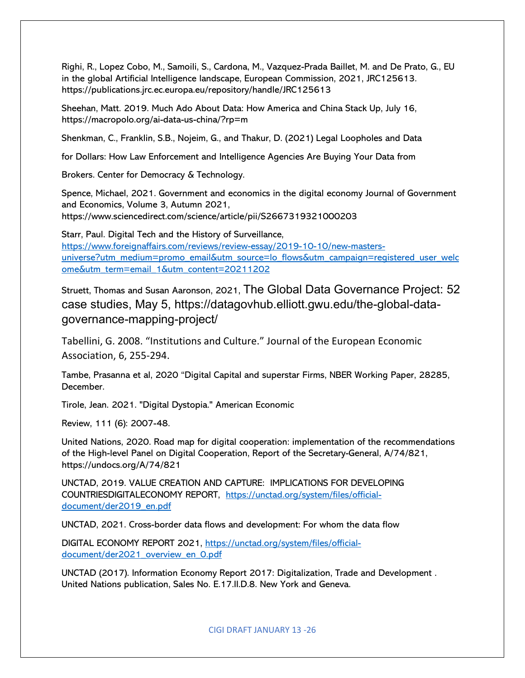Righi, R., Lopez Cobo, M., Samoili, S., Cardona, M., Vazquez-Prada Baillet, M. and De Prato, G., EU in the global Artificial Intelligence landscape, European Commission, 2021, JRC125613. https://publications.jrc.ec.europa.eu/repository/handle/JRC125613

Sheehan, Matt. 2019. Much Ado About Data: How America and China Stack Up, July 16, https://macropolo.org/ai-data-us-china/?rp=m

Shenkman, C., Franklin, S.B., Nojeim, G., and Thakur, D. (2021) Legal Loopholes and Data

for Dollars: How Law Enforcement and Intelligence Agencies Are Buying Your Data from

Brokers. Center for Democracy & Technology.

Spence, Michael, 2021. Government and economics in the digital economy Journal of Government and Economics, Volume 3, Autumn 2021, https://www.sciencedirect.com/science/article/pii/S2667319321000203

Starr, Paul. Digital Tech and the History of Surveillance, [https://www.foreignaffairs.com/reviews/review-essay/2019-10-10/new-masters](https://www.foreignaffairs.com/reviews/review-essay/2019-10-10/new-masters-universe?utm_medium=promo_email&utm_source=lo_flows&utm_campaign=registered_user_welcome&utm_term=email_1&utm_content=20211202)[universe?utm\\_medium=promo\\_email&utm\\_source=lo\\_flows&utm\\_campaign=registered\\_user\\_welc](https://www.foreignaffairs.com/reviews/review-essay/2019-10-10/new-masters-universe?utm_medium=promo_email&utm_source=lo_flows&utm_campaign=registered_user_welcome&utm_term=email_1&utm_content=20211202) [ome&utm\\_term=email\\_1&utm\\_content=20211202](https://www.foreignaffairs.com/reviews/review-essay/2019-10-10/new-masters-universe?utm_medium=promo_email&utm_source=lo_flows&utm_campaign=registered_user_welcome&utm_term=email_1&utm_content=20211202)

Struett, Thomas and Susan Aaronson, 2021, The Global Data Governance Project: 52 case studies, May 5, https://datagovhub.elliott.gwu.edu/the-global-datagovernance-mapping-project/

Tabellini, G. 2008. "Institutions and Culture." Journal of the European Economic Association, 6, 255-294.

Tambe, Prasanna et al, 2020 "Digital Capital and superstar Firms, NBER Working Paper, 28285, December.

Tirole, Jean. 2021. "Digital Dystopia." American Economic

Review, 111 (6): 2007-48.

United Nations, 2020. Road map for digital cooperation: implementation of the recommendations of the High-level Panel on Digital Cooperation, Report of the Secretary-General, A/74/821, https://undocs.org/A/74/821

UNCTAD, 2019. VALUE CREATION AND CAPTURE: IMPLICATIONS FOR DEVELOPING COUNTRIESDIGITALECONOMY REPORT, [https://unctad.org/system/files/official](https://unctad.org/system/files/official-document/der2019_en.pdf)[document/der2019\\_en.pdf](https://unctad.org/system/files/official-document/der2019_en.pdf)

UNCTAD, 2021. Cross-border data flows and development: For whom the data flow

DIGITAL ECONOMY REPORT 2021, [https://unctad.org/system/files/official](https://unctad.org/system/files/official-document/der2021_overview_en_0.pdf)[document/der2021\\_overview\\_en\\_0.pdf](https://unctad.org/system/files/official-document/der2021_overview_en_0.pdf)

UNCTAD (2017). Information Economy Report 2017: Digitalization, Trade and Development . United Nations publication, Sales No. E.17.II.D.8. New York and Geneva.